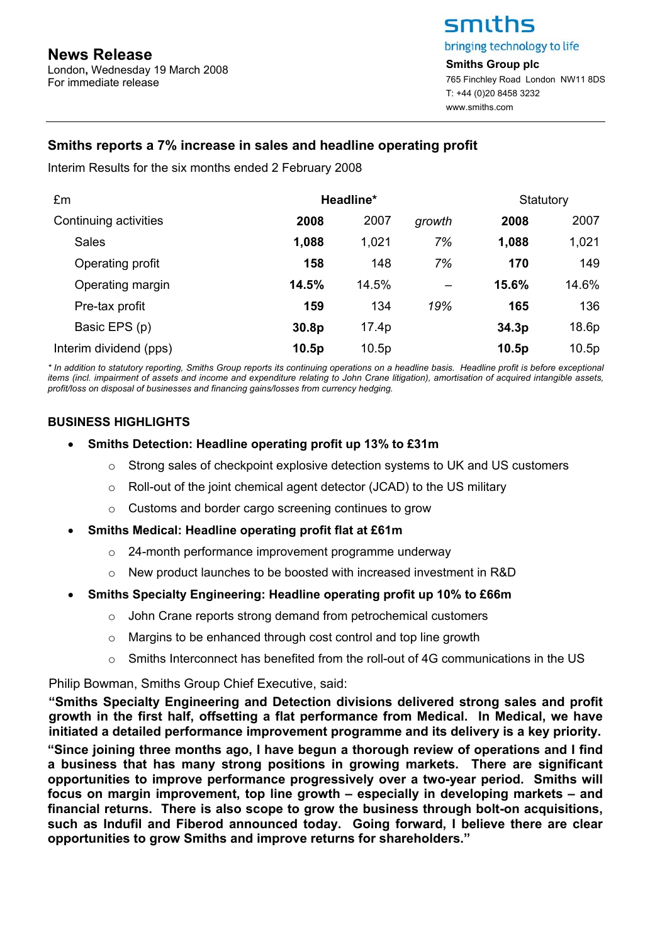London**,** Wednesday 19 March 2008 For immediate release

# smiths bringing technology to life

**Smiths Group plc**  765 Finchley Road London NW11 8DS T: +44 (0)20 8458 3232 www.smiths.com

# **Smiths reports a 7% increase in sales and headline operating profit**

Interim Results for the six months ended 2 February 2008

| £m                     | Headline*         |       |        | Statutory         |       |
|------------------------|-------------------|-------|--------|-------------------|-------|
| Continuing activities  | 2008              | 2007  | growth | 2008              | 2007  |
| <b>Sales</b>           | 1,088             | 1,021 | 7%     | 1,088             | 1,021 |
| Operating profit       | 158               | 148   | 7%     | 170               | 149   |
| Operating margin       | 14.5%             | 14.5% |        | 15.6%             | 14.6% |
| Pre-tax profit         | 159               | 134   | 19%    | 165               | 136   |
| Basic EPS (p)          | 30.8 <sub>p</sub> | 17.4p |        | 34.3 <sub>p</sub> | 18.6p |
| Interim dividend (pps) | 10.5p             | 10.5p |        | 10.5p             | 10.5p |

*\* In addition to statutory reporting, Smiths Group reports its continuing operations on a headline basis. Headline profit is before exceptional items (incl. impairment of assets and income and expenditure relating to John Crane litigation), amortisation of acquired intangible assets, profit/loss on disposal of businesses and financing gains/losses from currency hedging.* 

# **BUSINESS HIGHLIGHTS**

- **Smiths Detection: Headline operating profit up 13% to £31m** 
	- $\circ$  Strong sales of checkpoint explosive detection systems to UK and US customers
	- o Roll-out of the joint chemical agent detector (JCAD) to the US military
	- o Customs and border cargo screening continues to grow
- **Smiths Medical: Headline operating profit flat at £61m** 
	- o 24-month performance improvement programme underway
	- o New product launches to be boosted with increased investment in R&D

# • **Smiths Specialty Engineering: Headline operating profit up 10% to £66m**

- o John Crane reports strong demand from petrochemical customers
- o Margins to be enhanced through cost control and top line growth
- $\circ$  Smiths Interconnect has benefited from the roll-out of 4G communications in the US

Philip Bowman, Smiths Group Chief Executive, said:

**"Smiths Specialty Engineering and Detection divisions delivered strong sales and profit growth in the first half, offsetting a flat performance from Medical. In Medical, we have initiated a detailed performance improvement programme and its delivery is a key priority.** 

**"Since joining three months ago, I have begun a thorough review of operations and I find a business that has many strong positions in growing markets. There are significant opportunities to improve performance progressively over a two-year period. Smiths will focus on margin improvement, top line growth – especially in developing markets – and financial returns. There is also scope to grow the business through bolt-on acquisitions, such as Indufil and Fiberod announced today. Going forward, I believe there are clear opportunities to grow Smiths and improve returns for shareholders."**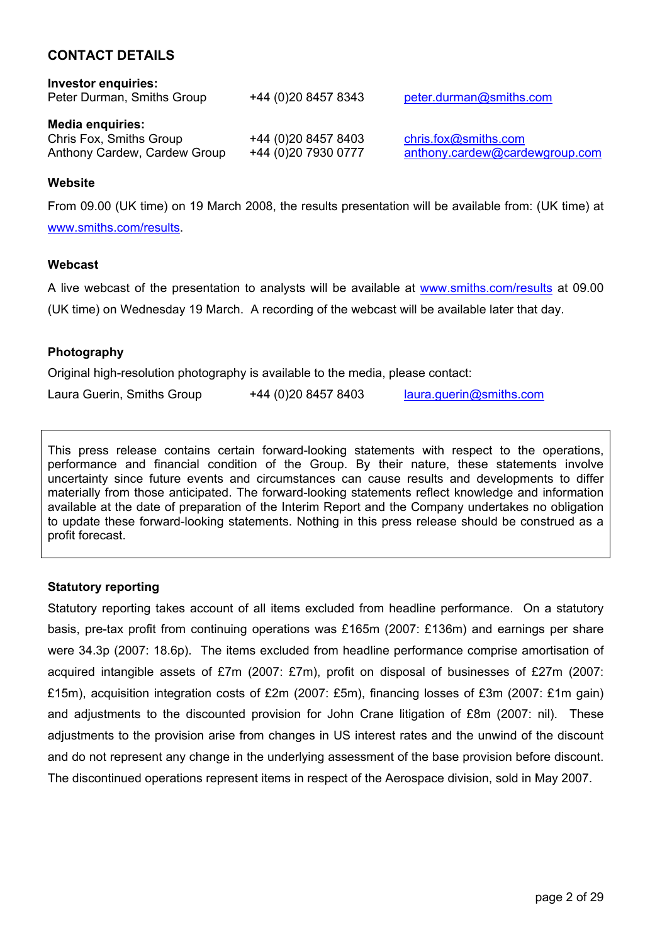# **CONTACT DETAILS**

| <b>Investor enquiries:</b><br>Peter Durman, Smiths Group                           | +44 (0)20 8457 8343                        | peter.durman@smiths.com                                |
|------------------------------------------------------------------------------------|--------------------------------------------|--------------------------------------------------------|
| <b>Media enquiries:</b><br>Chris Fox, Smiths Group<br>Anthony Cardew, Cardew Group | +44 (0)20 8457 8403<br>+44 (0)20 7930 0777 | chris.fox@smiths.com<br>anthony.cardew@cardewgroup.com |

### **Website**

From 09.00 (UK time) on 19 March 2008, the results presentation will be available from: (UK time) at www.smiths.com/results.

### **Webcast**

A live webcast of the presentation to analysts will be available at www.smiths.com/results at 09.00 (UK time) on Wednesday 19 March. A recording of the webcast will be available later that day.

## **Photography**

Original high-resolution photography is available to the media, please contact:

| Laura Guerin, Smiths Group | +44 (0)20 8457 8403 | laura.guerin@smiths.com |
|----------------------------|---------------------|-------------------------|
|----------------------------|---------------------|-------------------------|

This press release contains certain forward-looking statements with respect to the operations, performance and financial condition of the Group. By their nature, these statements involve uncertainty since future events and circumstances can cause results and developments to differ materially from those anticipated. The forward-looking statements reflect knowledge and information available at the date of preparation of the Interim Report and the Company undertakes no obligation to update these forward-looking statements. Nothing in this press release should be construed as a profit forecast.

### **Statutory reporting**

Statutory reporting takes account of all items excluded from headline performance. On a statutory basis, pre-tax profit from continuing operations was £165m (2007: £136m) and earnings per share were 34.3p (2007: 18.6p). The items excluded from headline performance comprise amortisation of acquired intangible assets of £7m (2007: £7m), profit on disposal of businesses of £27m (2007: £15m), acquisition integration costs of £2m (2007: £5m), financing losses of £3m (2007: £1m gain) and adjustments to the discounted provision for John Crane litigation of £8m (2007: nil). These adjustments to the provision arise from changes in US interest rates and the unwind of the discount and do not represent any change in the underlying assessment of the base provision before discount. The discontinued operations represent items in respect of the Aerospace division, sold in May 2007.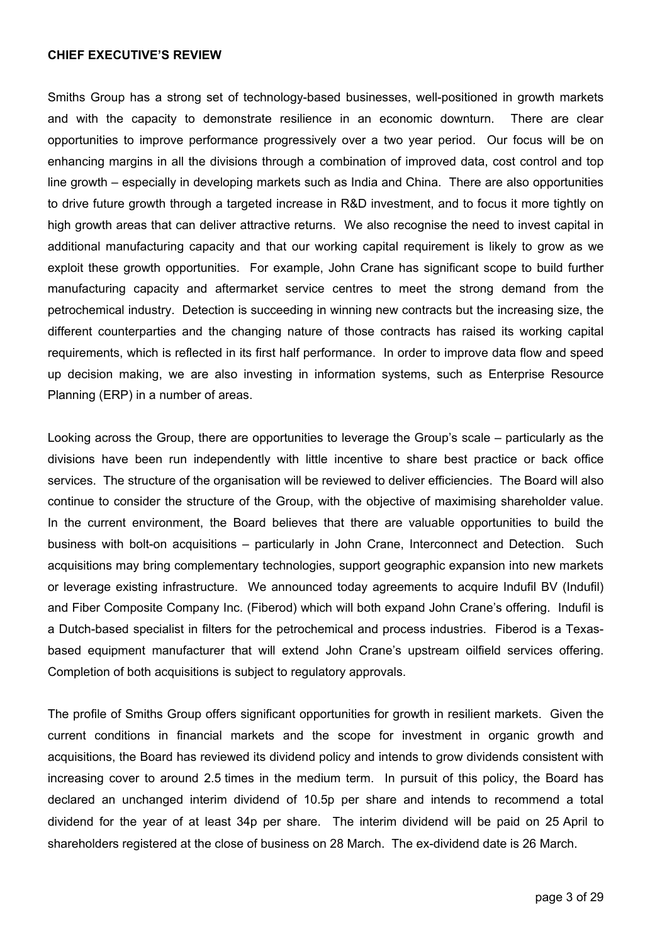### **CHIEF EXECUTIVE'S REVIEW**

Smiths Group has a strong set of technology-based businesses, well-positioned in growth markets and with the capacity to demonstrate resilience in an economic downturn. There are clear opportunities to improve performance progressively over a two year period. Our focus will be on enhancing margins in all the divisions through a combination of improved data, cost control and top line growth – especially in developing markets such as India and China. There are also opportunities to drive future growth through a targeted increase in R&D investment, and to focus it more tightly on high growth areas that can deliver attractive returns. We also recognise the need to invest capital in additional manufacturing capacity and that our working capital requirement is likely to grow as we exploit these growth opportunities. For example, John Crane has significant scope to build further manufacturing capacity and aftermarket service centres to meet the strong demand from the petrochemical industry. Detection is succeeding in winning new contracts but the increasing size, the different counterparties and the changing nature of those contracts has raised its working capital requirements, which is reflected in its first half performance. In order to improve data flow and speed up decision making, we are also investing in information systems, such as Enterprise Resource Planning (ERP) in a number of areas.

Looking across the Group, there are opportunities to leverage the Group's scale – particularly as the divisions have been run independently with little incentive to share best practice or back office services. The structure of the organisation will be reviewed to deliver efficiencies. The Board will also continue to consider the structure of the Group, with the objective of maximising shareholder value. In the current environment, the Board believes that there are valuable opportunities to build the business with bolt-on acquisitions – particularly in John Crane, Interconnect and Detection. Such acquisitions may bring complementary technologies, support geographic expansion into new markets or leverage existing infrastructure. We announced today agreements to acquire Indufil BV (Indufil) and Fiber Composite Company Inc. (Fiberod) which will both expand John Crane's offering. Indufil is a Dutch-based specialist in filters for the petrochemical and process industries. Fiberod is a Texasbased equipment manufacturer that will extend John Crane's upstream oilfield services offering. Completion of both acquisitions is subject to regulatory approvals.

The profile of Smiths Group offers significant opportunities for growth in resilient markets. Given the current conditions in financial markets and the scope for investment in organic growth and acquisitions, the Board has reviewed its dividend policy and intends to grow dividends consistent with increasing cover to around 2.5 times in the medium term. In pursuit of this policy, the Board has declared an unchanged interim dividend of 10.5p per share and intends to recommend a total dividend for the year of at least 34p per share. The interim dividend will be paid on 25 April to shareholders registered at the close of business on 28 March. The ex-dividend date is 26 March.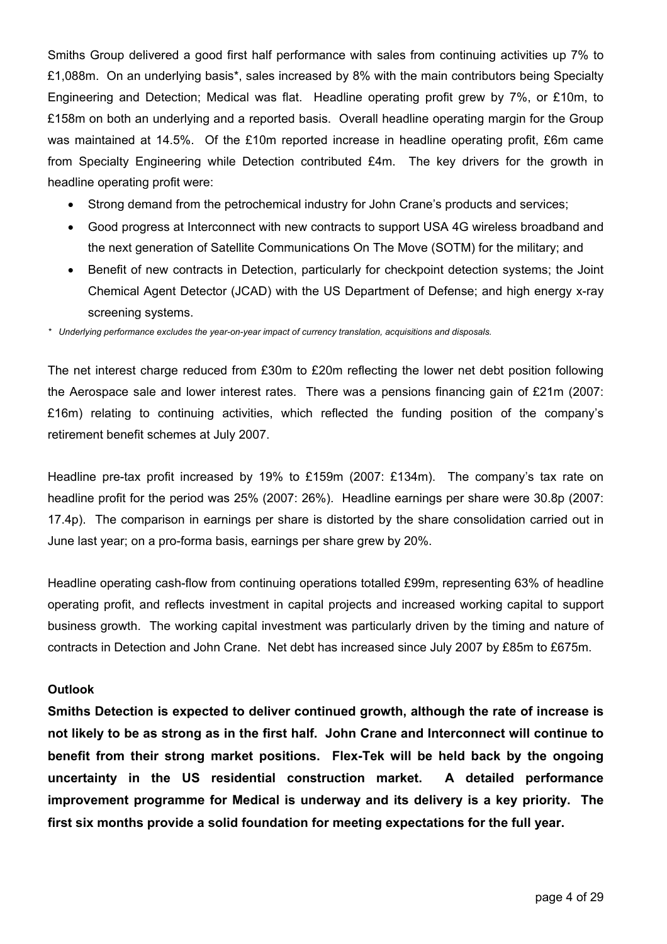Smiths Group delivered a good first half performance with sales from continuing activities up 7% to £1,088m. On an underlying basis\*, sales increased by 8% with the main contributors being Specialty Engineering and Detection; Medical was flat. Headline operating profit grew by 7%, or £10m, to £158m on both an underlying and a reported basis. Overall headline operating margin for the Group was maintained at 14.5%. Of the £10m reported increase in headline operating profit, £6m came from Specialty Engineering while Detection contributed £4m. The key drivers for the growth in headline operating profit were:

- Strong demand from the petrochemical industry for John Crane's products and services;
- Good progress at Interconnect with new contracts to support USA 4G wireless broadband and the next generation of Satellite Communications On The Move (SOTM) for the military; and
- Benefit of new contracts in Detection, particularly for checkpoint detection systems; the Joint Chemical Agent Detector (JCAD) with the US Department of Defense; and high energy x-ray screening systems.

*\* Underlying performance excludes the year-on-year impact of currency translation, acquisitions and disposals.*

The net interest charge reduced from £30m to £20m reflecting the lower net debt position following the Aerospace sale and lower interest rates. There was a pensions financing gain of £21m (2007: £16m) relating to continuing activities, which reflected the funding position of the company's retirement benefit schemes at July 2007.

Headline pre-tax profit increased by 19% to £159m (2007: £134m). The company's tax rate on headline profit for the period was 25% (2007: 26%). Headline earnings per share were 30.8p (2007: 17.4p). The comparison in earnings per share is distorted by the share consolidation carried out in June last year; on a pro-forma basis, earnings per share grew by 20%.

Headline operating cash-flow from continuing operations totalled £99m, representing 63% of headline operating profit, and reflects investment in capital projects and increased working capital to support business growth. The working capital investment was particularly driven by the timing and nature of contracts in Detection and John Crane. Net debt has increased since July 2007 by £85m to £675m.

## **Outlook**

**Smiths Detection is expected to deliver continued growth, although the rate of increase is not likely to be as strong as in the first half. John Crane and Interconnect will continue to benefit from their strong market positions. Flex-Tek will be held back by the ongoing uncertainty in the US residential construction market. A detailed performance improvement programme for Medical is underway and its delivery is a key priority. The first six months provide a solid foundation for meeting expectations for the full year.**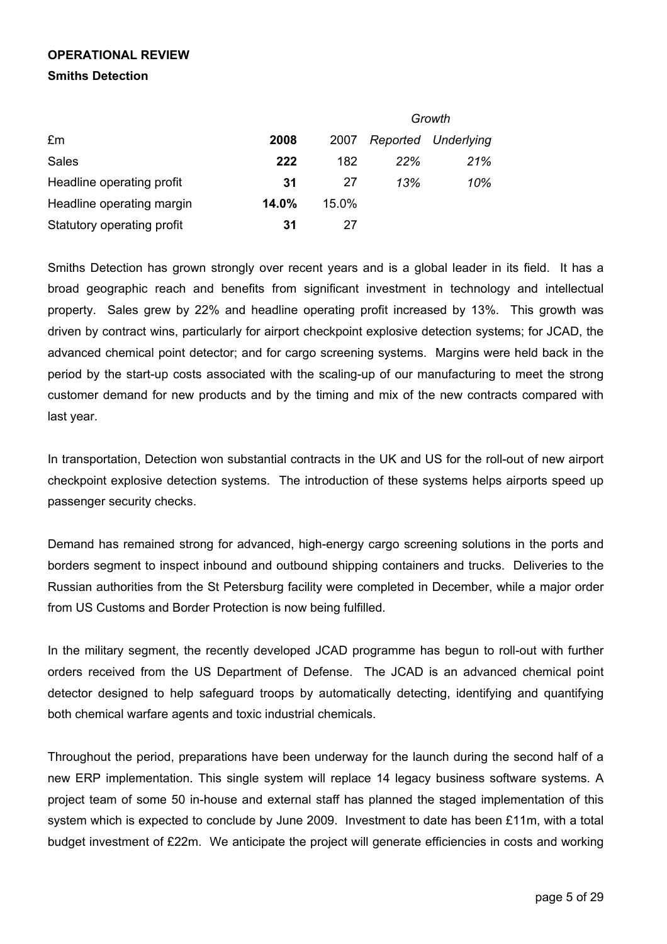# **OPERATIONAL REVIEW Smiths Detection**

|                            |       |          |     | Growth              |
|----------------------------|-------|----------|-----|---------------------|
| £m                         | 2008  | 2007     |     | Reported Underlying |
| <b>Sales</b>               | 222   | 182      | 22% | 21%                 |
| Headline operating profit  | 31    | 27       | 13% | 10%                 |
| Headline operating margin  | 14.0% | $15.0\%$ |     |                     |
| Statutory operating profit | 31    | 27       |     |                     |

Smiths Detection has grown strongly over recent years and is a global leader in its field. It has a broad geographic reach and benefits from significant investment in technology and intellectual property. Sales grew by 22% and headline operating profit increased by 13%. This growth was driven by contract wins, particularly for airport checkpoint explosive detection systems; for JCAD, the advanced chemical point detector; and for cargo screening systems. Margins were held back in the period by the start-up costs associated with the scaling-up of our manufacturing to meet the strong customer demand for new products and by the timing and mix of the new contracts compared with last year.

In transportation, Detection won substantial contracts in the UK and US for the roll-out of new airport checkpoint explosive detection systems. The introduction of these systems helps airports speed up passenger security checks.

Demand has remained strong for advanced, high-energy cargo screening solutions in the ports and borders segment to inspect inbound and outbound shipping containers and trucks. Deliveries to the Russian authorities from the St Petersburg facility were completed in December, while a major order from US Customs and Border Protection is now being fulfilled.

In the military segment, the recently developed JCAD programme has begun to roll-out with further orders received from the US Department of Defense. The JCAD is an advanced chemical point detector designed to help safeguard troops by automatically detecting, identifying and quantifying both chemical warfare agents and toxic industrial chemicals.

Throughout the period, preparations have been underway for the launch during the second half of a new ERP implementation. This single system will replace 14 legacy business software systems. A project team of some 50 in-house and external staff has planned the staged implementation of this system which is expected to conclude by June 2009. Investment to date has been £11m, with a total budget investment of £22m. We anticipate the project will generate efficiencies in costs and working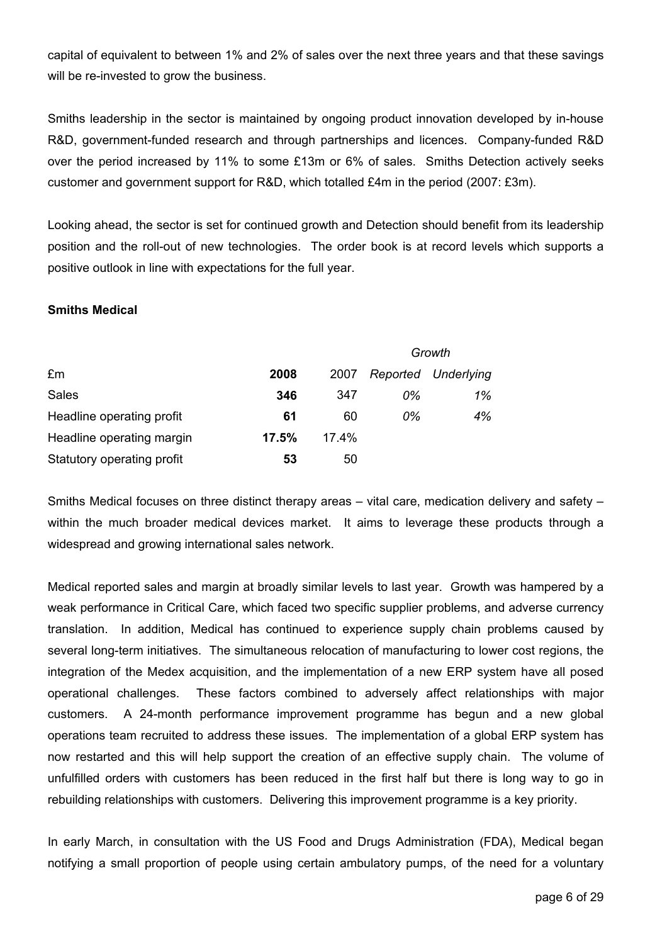capital of equivalent to between 1% and 2% of sales over the next three years and that these savings will be re-invested to grow the business.

Smiths leadership in the sector is maintained by ongoing product innovation developed by in-house R&D, government-funded research and through partnerships and licences. Company-funded R&D over the period increased by 11% to some £13m or 6% of sales. Smiths Detection actively seeks customer and government support for R&D, which totalled £4m in the period (2007: £3m).

Looking ahead, the sector is set for continued growth and Detection should benefit from its leadership position and the roll-out of new technologies. The order book is at record levels which supports a positive outlook in line with expectations for the full year.

# **Smiths Medical**

|                            |       |       | Growth   |            |  |  |
|----------------------------|-------|-------|----------|------------|--|--|
| £m                         | 2008  | 2007  | Reported | Underlying |  |  |
| <b>Sales</b>               | 346   | 347   | 0%       | 1%         |  |  |
| Headline operating profit  | 61    | 60    | 0%       | 4%         |  |  |
| Headline operating margin  | 17.5% | 17.4% |          |            |  |  |
| Statutory operating profit | 53    | 50    |          |            |  |  |

Smiths Medical focuses on three distinct therapy areas – vital care, medication delivery and safety – within the much broader medical devices market. It aims to leverage these products through a widespread and growing international sales network.

Medical reported sales and margin at broadly similar levels to last year. Growth was hampered by a weak performance in Critical Care, which faced two specific supplier problems, and adverse currency translation. In addition, Medical has continued to experience supply chain problems caused by several long-term initiatives. The simultaneous relocation of manufacturing to lower cost regions, the integration of the Medex acquisition, and the implementation of a new ERP system have all posed operational challenges. These factors combined to adversely affect relationships with major customers. A 24-month performance improvement programme has begun and a new global operations team recruited to address these issues. The implementation of a global ERP system has now restarted and this will help support the creation of an effective supply chain. The volume of unfulfilled orders with customers has been reduced in the first half but there is long way to go in rebuilding relationships with customers. Delivering this improvement programme is a key priority.

In early March, in consultation with the US Food and Drugs Administration (FDA), Medical began notifying a small proportion of people using certain ambulatory pumps, of the need for a voluntary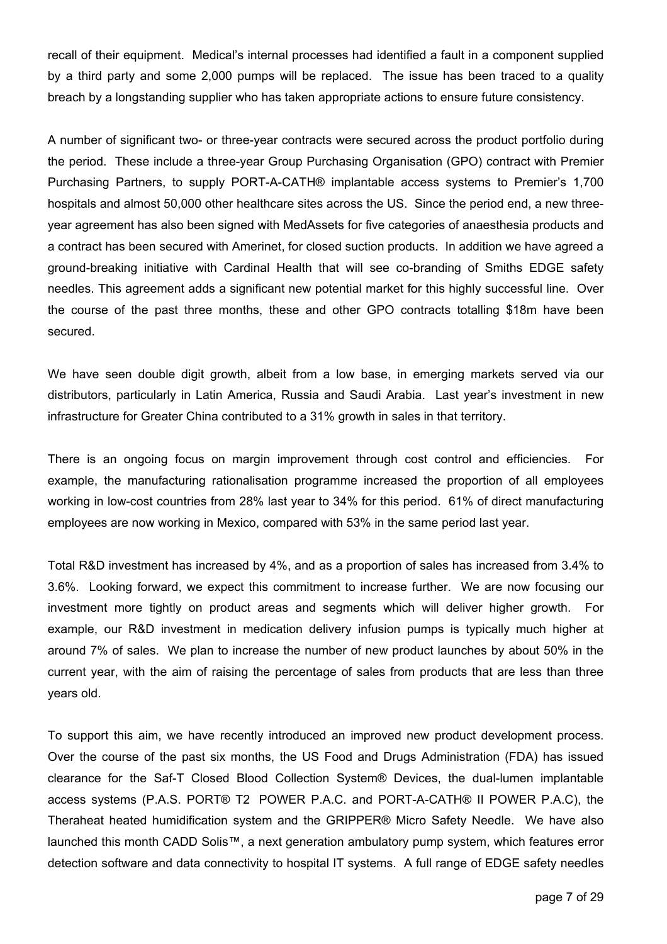recall of their equipment. Medical's internal processes had identified a fault in a component supplied by a third party and some 2,000 pumps will be replaced. The issue has been traced to a quality breach by a longstanding supplier who has taken appropriate actions to ensure future consistency.

A number of significant two- or three-year contracts were secured across the product portfolio during the period. These include a three-year Group Purchasing Organisation (GPO) contract with Premier Purchasing Partners, to supply PORT-A-CATH® implantable access systems to Premier's 1,700 hospitals and almost 50,000 other healthcare sites across the US. Since the period end, a new threeyear agreement has also been signed with MedAssets for five categories of anaesthesia products and a contract has been secured with Amerinet, for closed suction products. In addition we have agreed a ground-breaking initiative with Cardinal Health that will see co-branding of Smiths EDGE safety needles. This agreement adds a significant new potential market for this highly successful line. Over the course of the past three months, these and other GPO contracts totalling \$18m have been secured.

We have seen double digit growth, albeit from a low base, in emerging markets served via our distributors, particularly in Latin America, Russia and Saudi Arabia. Last year's investment in new infrastructure for Greater China contributed to a 31% growth in sales in that territory.

There is an ongoing focus on margin improvement through cost control and efficiencies. For example, the manufacturing rationalisation programme increased the proportion of all employees working in low-cost countries from 28% last year to 34% for this period. 61% of direct manufacturing employees are now working in Mexico, compared with 53% in the same period last year.

Total R&D investment has increased by 4%, and as a proportion of sales has increased from 3.4% to 3.6%. Looking forward, we expect this commitment to increase further. We are now focusing our investment more tightly on product areas and segments which will deliver higher growth. For example, our R&D investment in medication delivery infusion pumps is typically much higher at around 7% of sales. We plan to increase the number of new product launches by about 50% in the current year, with the aim of raising the percentage of sales from products that are less than three years old.

To support this aim, we have recently introduced an improved new product development process. Over the course of the past six months, the US Food and Drugs Administration (FDA) has issued clearance for the Saf-T Closed Blood Collection System® Devices, the dual-lumen implantable access systems (P.A.S. PORT® T2 POWER P.A.C. and PORT-A-CATH® II POWER P.A.C), the Theraheat heated humidification system and the GRIPPER® Micro Safety Needle. We have also launched this month CADD Solis™, a next generation ambulatory pump system, which features error detection software and data connectivity to hospital IT systems. A full range of EDGE safety needles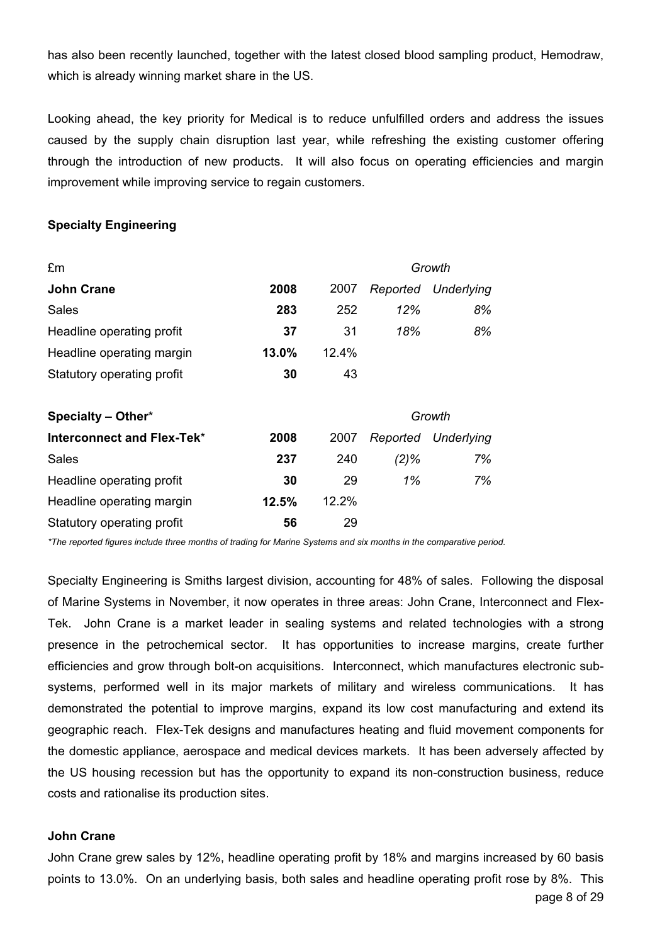has also been recently launched, together with the latest closed blood sampling product, Hemodraw, which is already winning market share in the US.

Looking ahead, the key priority for Medical is to reduce unfulfilled orders and address the issues caused by the supply chain disruption last year, while refreshing the existing customer offering through the introduction of new products. It will also focus on operating efficiencies and margin improvement while improving service to regain customers.

### **Specialty Engineering**

| £m                         |       | Growth |          |                   |  |  |
|----------------------------|-------|--------|----------|-------------------|--|--|
| <b>John Crane</b>          | 2008  | 2007   | Reported | Underlying        |  |  |
| <b>Sales</b>               | 283   | 252    | 12%      | 8%                |  |  |
| Headline operating profit  | 37    | 31     | 18%      | 8%                |  |  |
| Headline operating margin  | 13.0% | 12.4%  |          |                   |  |  |
| Statutory operating profit | 30    | 43     |          |                   |  |  |
| Specialty - Other*         |       |        |          | Growth            |  |  |
| Interconnect and Flex-Tek* | 2008  | 2007   | Reported | <b>Underlying</b> |  |  |
| Sales                      | 237   | 240    | $(2)\%$  | 7%                |  |  |
| Headline operating profit  | 30    | 29     | 1%       | 7%                |  |  |
| Headline operating margin  | 12.5% | 12.2%  |          |                   |  |  |
| Statutory operating profit | 56    | 29     |          |                   |  |  |

*\*The reported figures include three months of trading for Marine Systems and six months in the comparative period.* 

Specialty Engineering is Smiths largest division, accounting for 48% of sales. Following the disposal of Marine Systems in November, it now operates in three areas: John Crane, Interconnect and Flex-Tek. John Crane is a market leader in sealing systems and related technologies with a strong presence in the petrochemical sector. It has opportunities to increase margins, create further efficiencies and grow through bolt-on acquisitions. Interconnect, which manufactures electronic subsystems, performed well in its major markets of military and wireless communications. It has demonstrated the potential to improve margins, expand its low cost manufacturing and extend its geographic reach. Flex-Tek designs and manufactures heating and fluid movement components for the domestic appliance, aerospace and medical devices markets. It has been adversely affected by the US housing recession but has the opportunity to expand its non-construction business, reduce costs and rationalise its production sites.

### **John Crane**

page 8 of 29 John Crane grew sales by 12%, headline operating profit by 18% and margins increased by 60 basis points to 13.0%. On an underlying basis, both sales and headline operating profit rose by 8%. This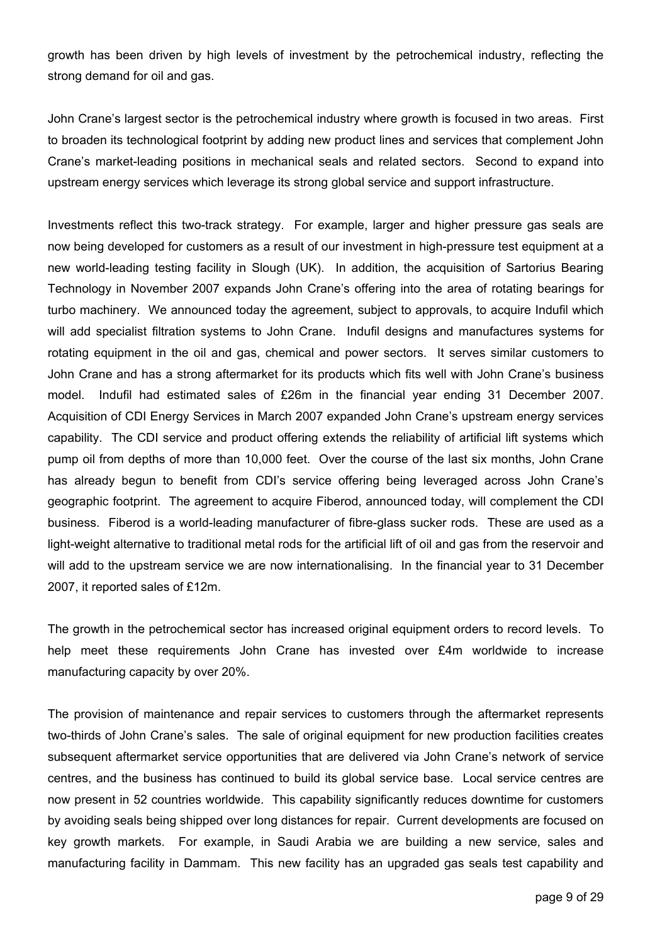growth has been driven by high levels of investment by the petrochemical industry, reflecting the strong demand for oil and gas.

John Crane's largest sector is the petrochemical industry where growth is focused in two areas. First to broaden its technological footprint by adding new product lines and services that complement John Crane's market-leading positions in mechanical seals and related sectors. Second to expand into upstream energy services which leverage its strong global service and support infrastructure.

Investments reflect this two-track strategy. For example, larger and higher pressure gas seals are now being developed for customers as a result of our investment in high-pressure test equipment at a new world-leading testing facility in Slough (UK). In addition, the acquisition of Sartorius Bearing Technology in November 2007 expands John Crane's offering into the area of rotating bearings for turbo machinery. We announced today the agreement, subject to approvals, to acquire Indufil which will add specialist filtration systems to John Crane. Indufil designs and manufactures systems for rotating equipment in the oil and gas, chemical and power sectors. It serves similar customers to John Crane and has a strong aftermarket for its products which fits well with John Crane's business model. Indufil had estimated sales of £26m in the financial year ending 31 December 2007. Acquisition of CDI Energy Services in March 2007 expanded John Crane's upstream energy services capability. The CDI service and product offering extends the reliability of artificial lift systems which pump oil from depths of more than 10,000 feet. Over the course of the last six months, John Crane has already begun to benefit from CDI's service offering being leveraged across John Crane's geographic footprint. The agreement to acquire Fiberod, announced today, will complement the CDI business. Fiberod is a world-leading manufacturer of fibre-glass sucker rods. These are used as a light-weight alternative to traditional metal rods for the artificial lift of oil and gas from the reservoir and will add to the upstream service we are now internationalising. In the financial year to 31 December 2007, it reported sales of £12m.

The growth in the petrochemical sector has increased original equipment orders to record levels. To help meet these requirements John Crane has invested over £4m worldwide to increase manufacturing capacity by over 20%.

The provision of maintenance and repair services to customers through the aftermarket represents two-thirds of John Crane's sales. The sale of original equipment for new production facilities creates subsequent aftermarket service opportunities that are delivered via John Crane's network of service centres, and the business has continued to build its global service base. Local service centres are now present in 52 countries worldwide. This capability significantly reduces downtime for customers by avoiding seals being shipped over long distances for repair. Current developments are focused on key growth markets. For example, in Saudi Arabia we are building a new service, sales and manufacturing facility in Dammam. This new facility has an upgraded gas seals test capability and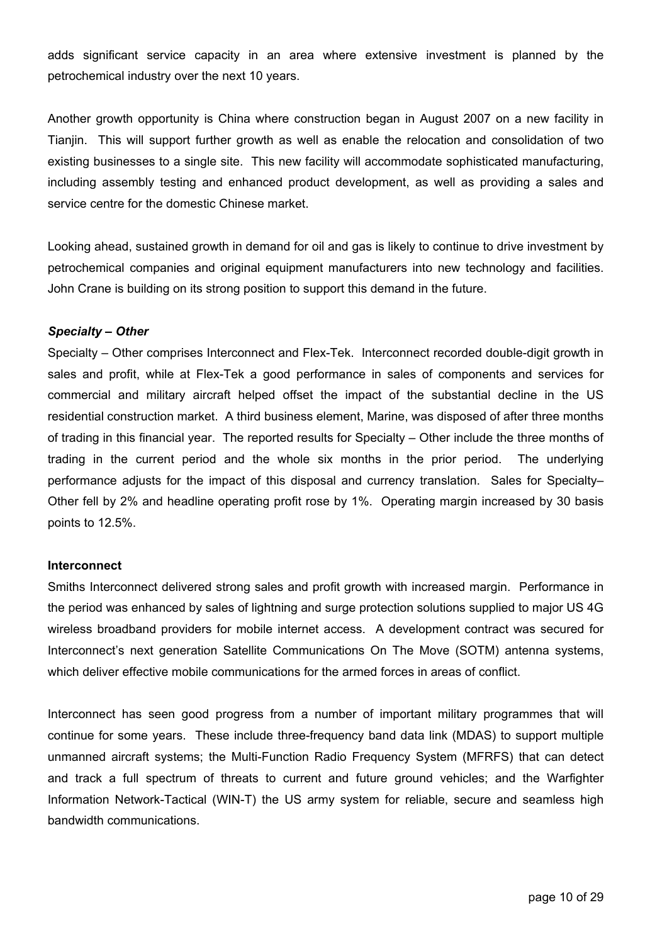adds significant service capacity in an area where extensive investment is planned by the petrochemical industry over the next 10 years.

Another growth opportunity is China where construction began in August 2007 on a new facility in Tianjin. This will support further growth as well as enable the relocation and consolidation of two existing businesses to a single site. This new facility will accommodate sophisticated manufacturing, including assembly testing and enhanced product development, as well as providing a sales and service centre for the domestic Chinese market.

Looking ahead, sustained growth in demand for oil and gas is likely to continue to drive investment by petrochemical companies and original equipment manufacturers into new technology and facilities. John Crane is building on its strong position to support this demand in the future.

## *Specialty – Other*

Specialty – Other comprises Interconnect and Flex-Tek. Interconnect recorded double-digit growth in sales and profit, while at Flex-Tek a good performance in sales of components and services for commercial and military aircraft helped offset the impact of the substantial decline in the US residential construction market. A third business element, Marine, was disposed of after three months of trading in this financial year. The reported results for Specialty – Other include the three months of trading in the current period and the whole six months in the prior period. The underlying performance adjusts for the impact of this disposal and currency translation. Sales for Specialty– Other fell by 2% and headline operating profit rose by 1%. Operating margin increased by 30 basis points to 12.5%.

### **Interconnect**

Smiths Interconnect delivered strong sales and profit growth with increased margin. Performance in the period was enhanced by sales of lightning and surge protection solutions supplied to major US 4G wireless broadband providers for mobile internet access. A development contract was secured for Interconnect's next generation Satellite Communications On The Move (SOTM) antenna systems, which deliver effective mobile communications for the armed forces in areas of conflict.

Interconnect has seen good progress from a number of important military programmes that will continue for some years. These include three-frequency band data link (MDAS) to support multiple unmanned aircraft systems; the Multi-Function Radio Frequency System (MFRFS) that can detect and track a full spectrum of threats to current and future ground vehicles; and the Warfighter Information Network-Tactical (WIN-T) the US army system for reliable, secure and seamless high bandwidth communications.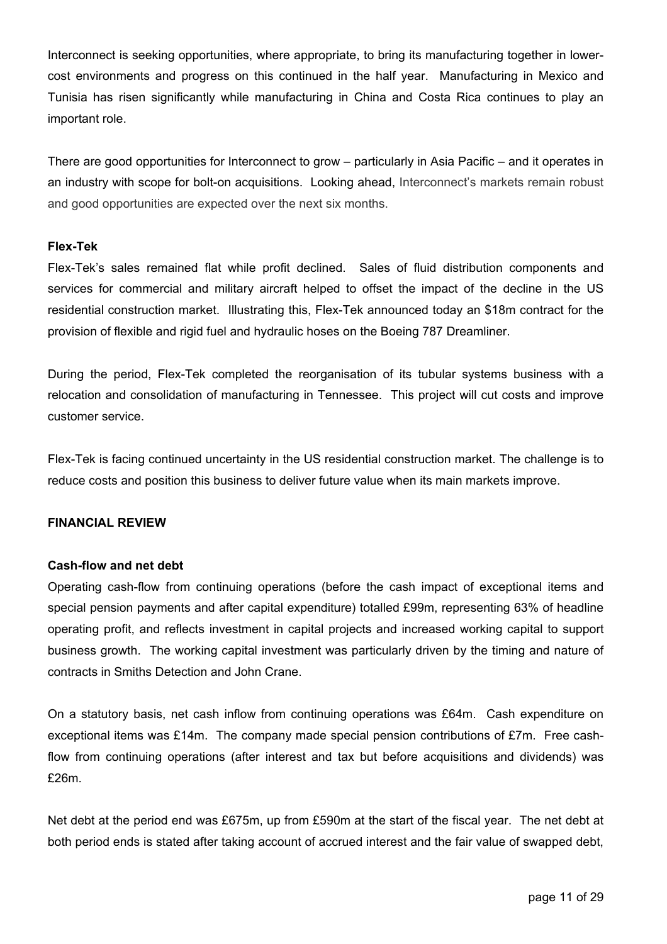Interconnect is seeking opportunities, where appropriate, to bring its manufacturing together in lowercost environments and progress on this continued in the half year. Manufacturing in Mexico and Tunisia has risen significantly while manufacturing in China and Costa Rica continues to play an important role.

There are good opportunities for Interconnect to grow – particularly in Asia Pacific – and it operates in an industry with scope for bolt-on acquisitions. Looking ahead, Interconnect's markets remain robust and good opportunities are expected over the next six months.

### **Flex-Tek**

Flex-Tek's sales remained flat while profit declined. Sales of fluid distribution components and services for commercial and military aircraft helped to offset the impact of the decline in the US residential construction market. Illustrating this, Flex-Tek announced today an \$18m contract for the provision of flexible and rigid fuel and hydraulic hoses on the Boeing 787 Dreamliner.

During the period, Flex-Tek completed the reorganisation of its tubular systems business with a relocation and consolidation of manufacturing in Tennessee. This project will cut costs and improve customer service.

Flex-Tek is facing continued uncertainty in the US residential construction market. The challenge is to reduce costs and position this business to deliver future value when its main markets improve.

## **FINANCIAL REVIEW**

### **Cash-flow and net debt**

Operating cash-flow from continuing operations (before the cash impact of exceptional items and special pension payments and after capital expenditure) totalled £99m, representing 63% of headline operating profit, and reflects investment in capital projects and increased working capital to support business growth. The working capital investment was particularly driven by the timing and nature of contracts in Smiths Detection and John Crane.

On a statutory basis, net cash inflow from continuing operations was £64m. Cash expenditure on exceptional items was £14m. The company made special pension contributions of £7m. Free cashflow from continuing operations (after interest and tax but before acquisitions and dividends) was £26m.

Net debt at the period end was £675m, up from £590m at the start of the fiscal year. The net debt at both period ends is stated after taking account of accrued interest and the fair value of swapped debt,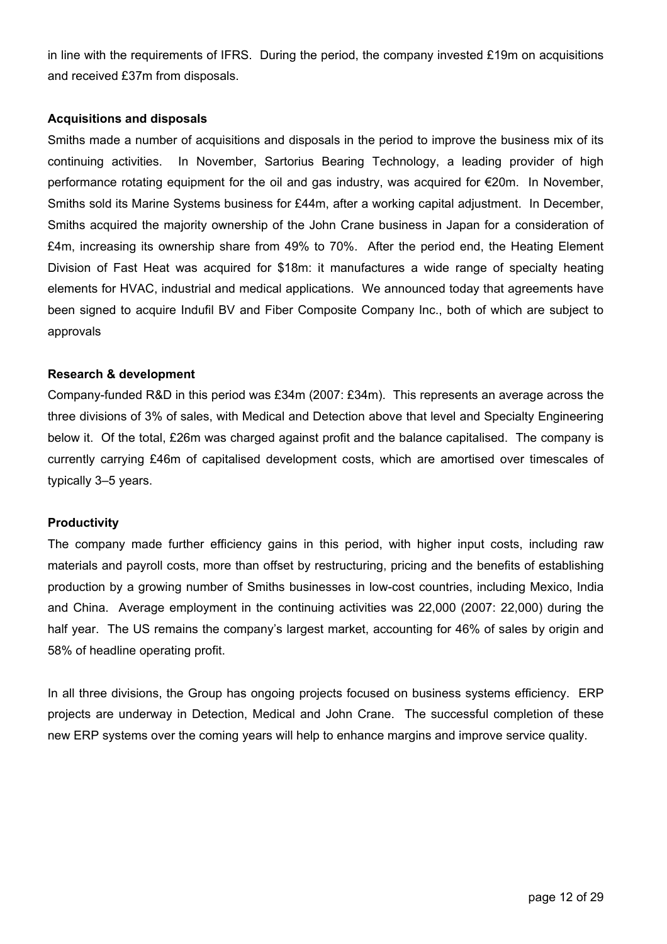in line with the requirements of IFRS. During the period, the company invested £19m on acquisitions and received £37m from disposals.

## **Acquisitions and disposals**

Smiths made a number of acquisitions and disposals in the period to improve the business mix of its continuing activities. In November, Sartorius Bearing Technology, a leading provider of high performance rotating equipment for the oil and gas industry, was acquired for  $\epsilon$ 20m. In November, Smiths sold its Marine Systems business for £44m, after a working capital adjustment. In December, Smiths acquired the majority ownership of the John Crane business in Japan for a consideration of £4m, increasing its ownership share from 49% to 70%. After the period end, the Heating Element Division of Fast Heat was acquired for \$18m: it manufactures a wide range of specialty heating elements for HVAC, industrial and medical applications. We announced today that agreements have been signed to acquire Indufil BV and Fiber Composite Company Inc., both of which are subject to approvals

# **Research & development**

Company-funded R&D in this period was £34m (2007: £34m). This represents an average across the three divisions of 3% of sales, with Medical and Detection above that level and Specialty Engineering below it. Of the total, £26m was charged against profit and the balance capitalised. The company is currently carrying £46m of capitalised development costs, which are amortised over timescales of typically 3–5 years.

## **Productivity**

The company made further efficiency gains in this period, with higher input costs, including raw materials and payroll costs, more than offset by restructuring, pricing and the benefits of establishing production by a growing number of Smiths businesses in low-cost countries, including Mexico, India and China. Average employment in the continuing activities was 22,000 (2007: 22,000) during the half year. The US remains the company's largest market, accounting for 46% of sales by origin and 58% of headline operating profit.

In all three divisions, the Group has ongoing projects focused on business systems efficiency. ERP projects are underway in Detection, Medical and John Crane. The successful completion of these new ERP systems over the coming years will help to enhance margins and improve service quality.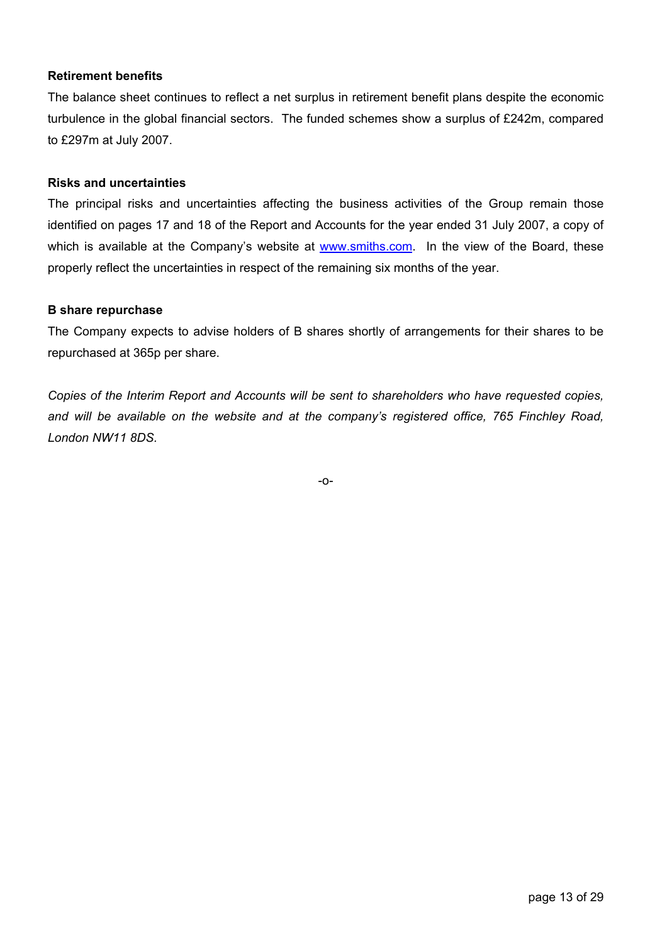# **Retirement benefits**

The balance sheet continues to reflect a net surplus in retirement benefit plans despite the economic turbulence in the global financial sectors. The funded schemes show a surplus of £242m, compared to £297m at July 2007.

### **Risks and uncertainties**

The principal risks and uncertainties affecting the business activities of the Group remain those identified on pages 17 and 18 of the Report and Accounts for the year ended 31 July 2007, a copy of which is available at the Company's website at www.smiths.com. In the view of the Board, these properly reflect the uncertainties in respect of the remaining six months of the year.

### **B share repurchase**

The Company expects to advise holders of B shares shortly of arrangements for their shares to be repurchased at 365p per share.

*Copies of the Interim Report and Accounts will be sent to shareholders who have requested copies, and will be available on the website and at the company's registered office, 765 Finchley Road, London NW11 8DS.* 

-o-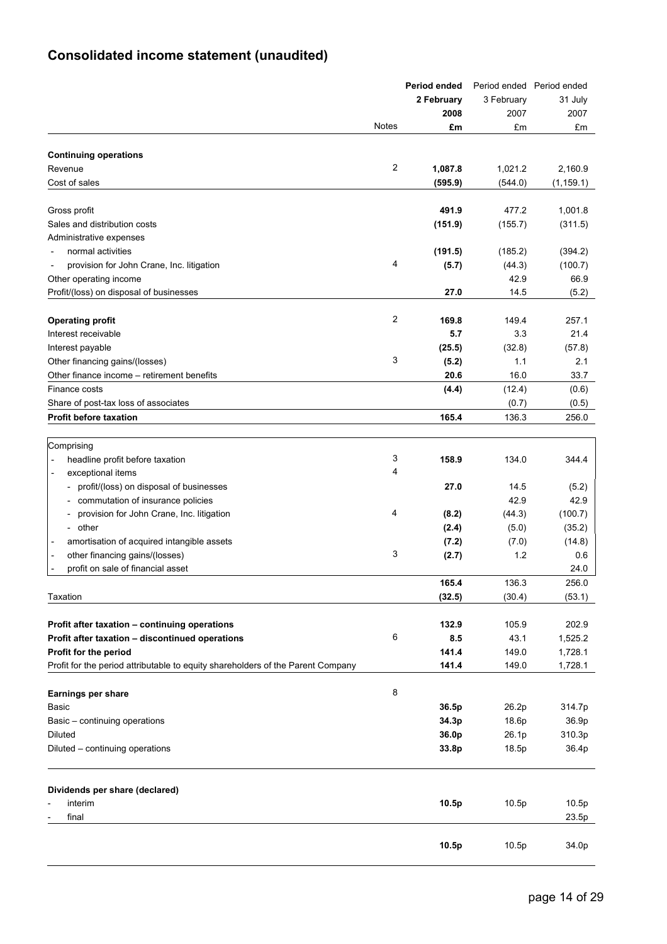# **Consolidated income statement (unaudited)**

|                                                                                 | Period ended   |            |            | Period ended Period ended |
|---------------------------------------------------------------------------------|----------------|------------|------------|---------------------------|
|                                                                                 |                | 2 February | 3 February | 31 July                   |
|                                                                                 |                | 2008       | 2007       | 2007                      |
|                                                                                 | Notes          | £m         | £m         | £m                        |
|                                                                                 |                |            |            |                           |
| <b>Continuing operations</b>                                                    |                |            |            |                           |
| Revenue                                                                         | 2              | 1,087.8    | 1,021.2    | 2,160.9                   |
| Cost of sales                                                                   |                | (595.9)    | (544.0)    | (1, 159.1)                |
|                                                                                 |                |            |            |                           |
| Gross profit                                                                    |                | 491.9      | 477.2      | 1,001.8                   |
| Sales and distribution costs                                                    |                | (151.9)    | (155.7)    | (311.5)                   |
| Administrative expenses                                                         |                |            |            |                           |
| normal activities                                                               |                | (191.5)    | (185.2)    | (394.2)                   |
| provision for John Crane, Inc. litigation                                       | 4              | (5.7)      | (44.3)     | (100.7)                   |
| Other operating income                                                          |                |            | 42.9       | 66.9                      |
| Profit/(loss) on disposal of businesses                                         |                | 27.0       | 14.5       | (5.2)                     |
|                                                                                 |                |            |            |                           |
| <b>Operating profit</b>                                                         | $\overline{c}$ | 169.8      | 149.4      | 257.1                     |
| Interest receivable                                                             |                | 5.7        | 3.3        | 21.4                      |
| Interest payable                                                                |                | (25.5)     | (32.8)     | (57.8)                    |
| Other financing gains/(losses)                                                  | 3              | (5.2)      | 1.1        | 2.1                       |
| Other finance income - retirement benefits                                      |                | 20.6       | 16.0       | 33.7                      |
| Finance costs                                                                   |                | (4.4)      | (12.4)     | (0.6)                     |
| Share of post-tax loss of associates                                            |                |            | (0.7)      | (0.5)                     |
| <b>Profit before taxation</b>                                                   |                | 165.4      | 136.3      | 256.0                     |
|                                                                                 |                |            |            |                           |
| Comprising                                                                      |                |            |            |                           |
| headline profit before taxation                                                 | 3              | 158.9      | 134.0      | 344.4                     |
| exceptional items                                                               | 4              |            |            |                           |
| profit/(loss) on disposal of businesses                                         |                | 27.0       | 14.5       | (5.2)                     |
| commutation of insurance policies                                               |                |            | 42.9       | 42.9                      |
| provision for John Crane, Inc. litigation<br>$\overline{\phantom{a}}$           | 4              | (8.2)      | (44.3)     | (100.7)                   |
| other<br>$\blacksquare$                                                         |                | (2.4)      | (5.0)      | (35.2)                    |
| amortisation of acquired intangible assets                                      |                | (7.2)      | (7.0)      | (14.8)                    |
| other financing gains/(losses)                                                  | 3              | (2.7)      | 1.2        | 0.6                       |
| profit on sale of financial asset                                               |                |            |            | 24.0                      |
|                                                                                 |                | 165.4      | 136.3      | 256.0                     |
| Taxation                                                                        |                | (32.5)     | (30.4)     | (53.1)                    |
|                                                                                 |                |            |            |                           |
| Profit after taxation - continuing operations                                   |                | 132.9      | 105.9      | 202.9                     |
| Profit after taxation - discontinued operations                                 | 6              | 8.5        | 43.1       | 1,525.2                   |
| Profit for the period                                                           |                | 141.4      | 149.0      | 1,728.1                   |
| Profit for the period attributable to equity shareholders of the Parent Company |                | 141.4      | 149.0      | 1,728.1                   |
|                                                                                 |                |            |            |                           |
| <b>Earnings per share</b>                                                       | 8              |            |            |                           |
| Basic                                                                           |                | 36.5p      | 26.2p      | 314.7p                    |
| Basic - continuing operations                                                   |                | 34.3p      | 18.6p      | 36.9p                     |
| Diluted                                                                         |                | 36.0p      | 26.1p      | 310.3p                    |
| Diluted - continuing operations                                                 |                | 33.8p      | 18.5p      | 36.4p                     |
|                                                                                 |                |            |            |                           |
| Dividends per share (declared)                                                  |                |            |            |                           |
| interim                                                                         |                | 10.5p      | 10.5p      | 10.5p                     |
| final                                                                           |                |            |            | 23.5p                     |
|                                                                                 |                |            |            |                           |
|                                                                                 |                | 10.5p      | 10.5p      | 34.0p                     |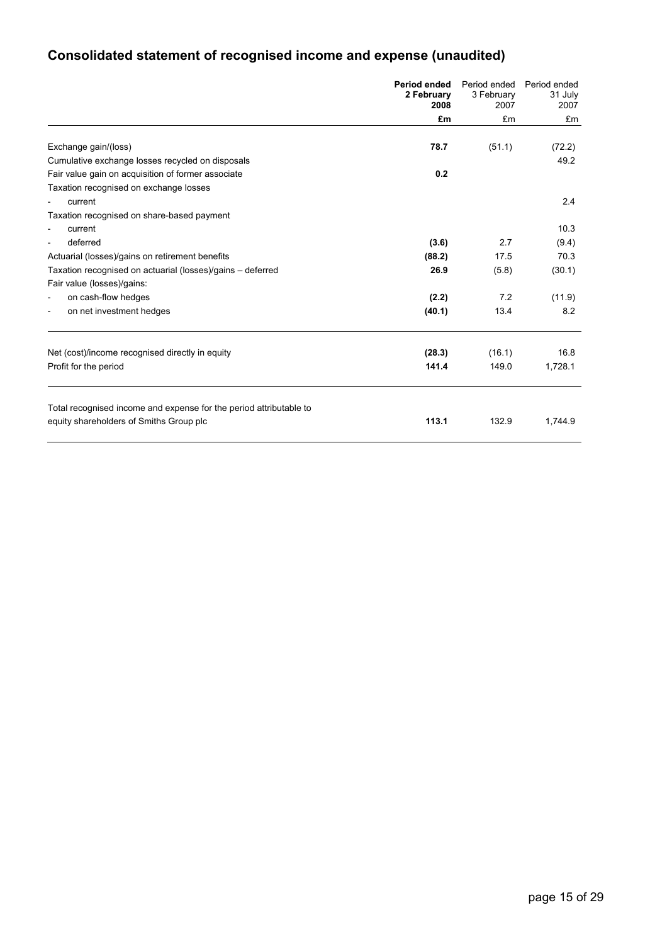# **Consolidated statement of recognised income and expense (unaudited)**

|                                                                    | <b>Period ended</b><br>2 February<br>2008 | Period ended<br>3 February<br>2007 | Period ended<br>31 July<br>2007 |
|--------------------------------------------------------------------|-------------------------------------------|------------------------------------|---------------------------------|
|                                                                    | £m                                        | £m                                 | £m                              |
|                                                                    |                                           |                                    |                                 |
| Exchange gain/(loss)                                               | 78.7                                      | (51.1)                             | (72.2)                          |
| Cumulative exchange losses recycled on disposals                   |                                           |                                    | 49.2                            |
| Fair value gain on acquisition of former associate                 | 0.2                                       |                                    |                                 |
| Taxation recognised on exchange losses                             |                                           |                                    |                                 |
| current                                                            |                                           |                                    | 2.4                             |
| Taxation recognised on share-based payment                         |                                           |                                    |                                 |
| current                                                            |                                           |                                    | 10.3                            |
| deferred<br>$\overline{\phantom{a}}$                               | (3.6)                                     | 2.7                                | (9.4)                           |
| Actuarial (losses)/gains on retirement benefits                    | (88.2)                                    | 17.5                               | 70.3                            |
| Taxation recognised on actuarial (losses)/gains - deferred         | 26.9                                      | (5.8)                              | (30.1)                          |
| Fair value (losses)/gains:                                         |                                           |                                    |                                 |
| on cash-flow hedges                                                | (2.2)                                     | 7.2                                | (11.9)                          |
| on net investment hedges<br>$\overline{a}$                         | (40.1)                                    | 13.4                               | 8.2                             |
|                                                                    |                                           |                                    |                                 |
| Net (cost)/income recognised directly in equity                    | (28.3)                                    | (16.1)                             | 16.8                            |
| Profit for the period                                              | 141.4                                     | 149.0                              | 1,728.1                         |
| Total recognised income and expense for the period attributable to |                                           |                                    |                                 |
| equity shareholders of Smiths Group plc                            | 113.1                                     | 132.9                              | 1,744.9                         |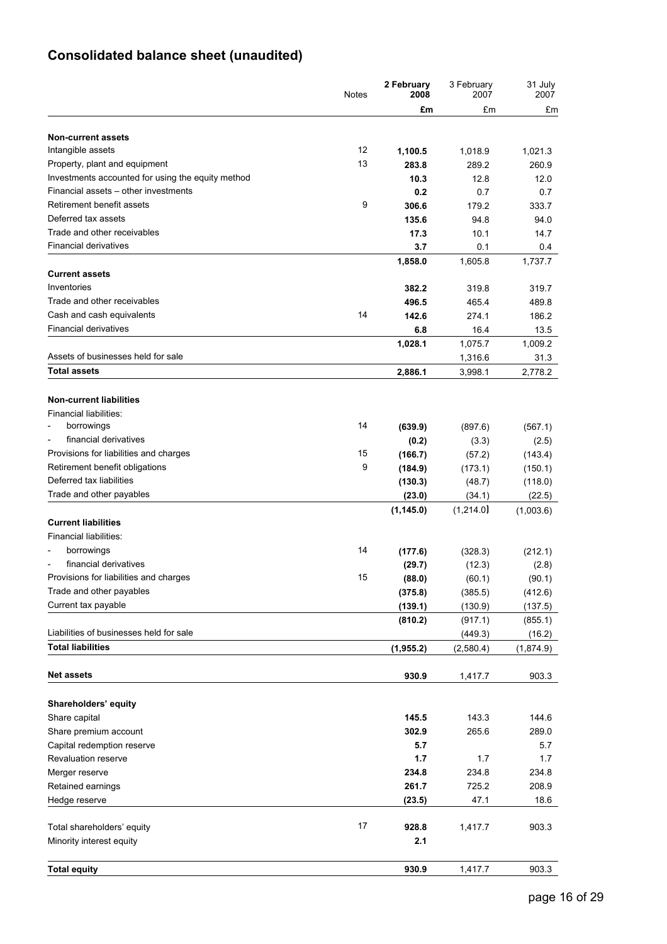# **Consolidated balance sheet (unaudited)**

|                                                   | <b>Notes</b> | 2 February<br>2008   | 3 February<br>2007  | 31 July<br>2007     |
|---------------------------------------------------|--------------|----------------------|---------------------|---------------------|
|                                                   |              | £m                   | £m                  | £m                  |
| <b>Non-current assets</b>                         |              |                      |                     |                     |
| Intangible assets                                 | 12           | 1,100.5              | 1,018.9             | 1,021.3             |
| Property, plant and equipment                     | 13           | 283.8                | 289.2               | 260.9               |
| Investments accounted for using the equity method |              | 10.3                 | 12.8                | 12.0                |
| Financial assets - other investments              |              | 0.2                  | 0.7                 | 0.7                 |
| Retirement benefit assets                         | 9            | 306.6                | 179.2               | 333.7               |
| Deferred tax assets                               |              | 135.6                | 94.8                | 94.0                |
| Trade and other receivables                       |              | 17.3                 | 10.1                | 14.7                |
| <b>Financial derivatives</b>                      |              | 3.7                  | 0.1                 | 0.4                 |
| <b>Current assets</b>                             |              | 1,858.0              | 1,605.8             | 1,737.7             |
| Inventories                                       |              |                      |                     |                     |
| Trade and other receivables                       |              | 382.2<br>496.5       | 319.8<br>465.4      | 319.7<br>489.8      |
| Cash and cash equivalents                         | 14           |                      |                     |                     |
| <b>Financial derivatives</b>                      |              | 142.6                | 274.1               | 186.2               |
|                                                   |              | 6.8                  | 16.4                | 13.5                |
|                                                   |              | 1,028.1              | 1,075.7             | 1,009.2             |
| Assets of businesses held for sale                |              |                      | 1,316.6             | 31.3                |
| <b>Total assets</b>                               |              | 2,886.1              | 3,998.1             | 2,778.2             |
| <b>Non-current liabilities</b>                    |              |                      |                     |                     |
| Financial liabilities:                            |              |                      |                     |                     |
| borrowings                                        | 14           | (639.9)              | (897.6)             | (567.1)             |
| financial derivatives                             |              | (0.2)                | (3.3)               | (2.5)               |
| Provisions for liabilities and charges            | 15           | (166.7)              | (57.2)              | (143.4)             |
| Retirement benefit obligations                    | 9            | (184.9)              | (173.1)             | (150.1)             |
| Deferred tax liabilities                          |              |                      |                     |                     |
| Trade and other payables                          |              | (130.3)              | (48.7)              | (118.0)             |
|                                                   |              | (23.0)<br>(1, 145.0) | (34.1)<br>(1,214.0) | (22.5)<br>(1,003.6) |
| <b>Current liabilities</b>                        |              |                      |                     |                     |
| Financial liabilities:                            |              |                      |                     |                     |
| borrowings                                        | 14           | (177.6)              | (328.3)             | (212.1)             |
| financial derivatives                             |              | (29.7)               | (12.3)              | (2.8)               |
| Provisions for liabilities and charges            | 15           | (88.0)               | (60.1)              | (90.1)              |
| Trade and other payables                          |              | (375.8)              | (385.5)             | (412.6)             |
| Current tax payable                               |              | (139.1)              | (130.9)             | (137.5)             |
|                                                   |              | (810.2)              | (917.1)             | (855.1)             |
| Liabilities of businesses held for sale           |              |                      | (449.3)             | (16.2)              |
| <b>Total liabilities</b>                          |              | (1, 955.2)           | (2,580.4)           | (1,874.9)           |
|                                                   |              |                      |                     |                     |
| <b>Net assets</b>                                 |              | 930.9                | 1,417.7             | 903.3               |
| Shareholders' equity                              |              |                      |                     |                     |
| Share capital                                     |              | 145.5                | 143.3               | 144.6               |
| Share premium account                             |              | 302.9                | 265.6               | 289.0               |
| Capital redemption reserve                        |              | 5.7                  |                     | 5.7                 |
| <b>Revaluation reserve</b>                        |              | 1.7                  | 1.7                 | 1.7                 |
| Merger reserve                                    |              | 234.8                | 234.8               | 234.8               |
|                                                   |              | 261.7                | 725.2               | 208.9               |
| Retained earnings                                 |              |                      |                     |                     |
| Hedge reserve                                     |              | (23.5)               | 47.1                | 18.6                |
| Total shareholders' equity                        | 17           | 928.8                | 1,417.7             | 903.3               |
| Minority interest equity                          |              | 2.1                  |                     |                     |
|                                                   |              |                      |                     |                     |
| <b>Total equity</b>                               |              | 930.9                | 1,417.7             | 903.3               |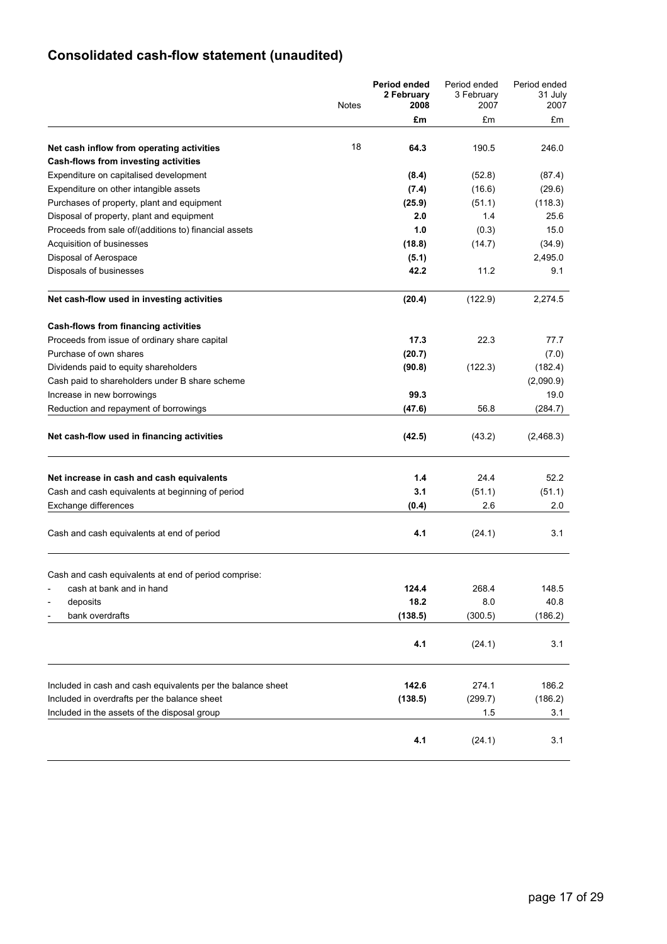# **Consolidated cash-flow statement (unaudited)**

|                                                             | <b>Notes</b> | Period ended<br>2 February<br>2008 | Period ended<br>3 February<br>2007 | Period ended<br>31 July<br>2007 |
|-------------------------------------------------------------|--------------|------------------------------------|------------------------------------|---------------------------------|
|                                                             |              | £m                                 | £m                                 | £m                              |
|                                                             |              |                                    |                                    |                                 |
| Net cash inflow from operating activities                   | 18           | 64.3                               | 190.5                              | 246.0                           |
| Cash-flows from investing activities                        |              |                                    |                                    |                                 |
| Expenditure on capitalised development                      |              | (8.4)                              | (52.8)                             | (87.4)                          |
| Expenditure on other intangible assets                      |              | (7.4)                              | (16.6)                             | (29.6)                          |
| Purchases of property, plant and equipment                  |              | (25.9)                             | (51.1)                             | (118.3)                         |
| Disposal of property, plant and equipment                   |              | 2.0                                | 1.4                                | 25.6                            |
| Proceeds from sale of/(additions to) financial assets       |              | 1.0                                | (0.3)                              | 15.0                            |
| Acquisition of businesses                                   |              | (18.8)                             | (14.7)                             | (34.9)                          |
| Disposal of Aerospace                                       |              | (5.1)                              |                                    | 2,495.0                         |
| Disposals of businesses                                     |              | 42.2                               | 11.2                               | 9.1                             |
| Net cash-flow used in investing activities                  |              | (20.4)                             | (122.9)                            | 2,274.5                         |
| <b>Cash-flows from financing activities</b>                 |              |                                    |                                    |                                 |
| Proceeds from issue of ordinary share capital               |              | 17.3                               | 22.3                               | 77.7                            |
| Purchase of own shares                                      |              | (20.7)                             |                                    | (7.0)                           |
| Dividends paid to equity shareholders                       |              | (90.8)                             | (122.3)                            | (182.4)                         |
| Cash paid to shareholders under B share scheme              |              |                                    |                                    | (2,090.9)                       |
| Increase in new borrowings                                  |              | 99.3                               |                                    | 19.0                            |
| Reduction and repayment of borrowings                       |              | (47.6)                             | 56.8                               | (284.7)                         |
| Net cash-flow used in financing activities                  |              | (42.5)                             | (43.2)                             | (2,468.3)                       |
| Net increase in cash and cash equivalents                   |              | 1.4                                | 24.4                               | 52.2                            |
| Cash and cash equivalents at beginning of period            |              | 3.1                                | (51.1)                             | (51.1)                          |
| Exchange differences                                        |              | (0.4)                              | 2.6                                | 2.0                             |
| Cash and cash equivalents at end of period                  |              | 4.1                                | (24.1)                             | 3.1                             |
| Cash and cash equivalents at end of period comprise:        |              |                                    |                                    |                                 |
| cash at bank and in hand                                    |              | 124.4                              | 268.4                              | 148.5                           |
| deposits                                                    |              | 18.2                               | 8.0                                | 40.8                            |
| bank overdrafts                                             |              | (138.5)                            | (300.5)                            | (186.2)                         |
|                                                             |              | 4.1                                | (24.1)                             | 3.1                             |
|                                                             |              |                                    |                                    |                                 |
| Included in cash and cash equivalents per the balance sheet |              | 142.6                              | 274.1                              | 186.2                           |
| Included in overdrafts per the balance sheet                |              | (138.5)                            | (299.7)                            | (186.2)                         |
| Included in the assets of the disposal group                |              |                                    | 1.5                                | 3.1                             |
|                                                             |              | 4.1                                | (24.1)                             | 3.1                             |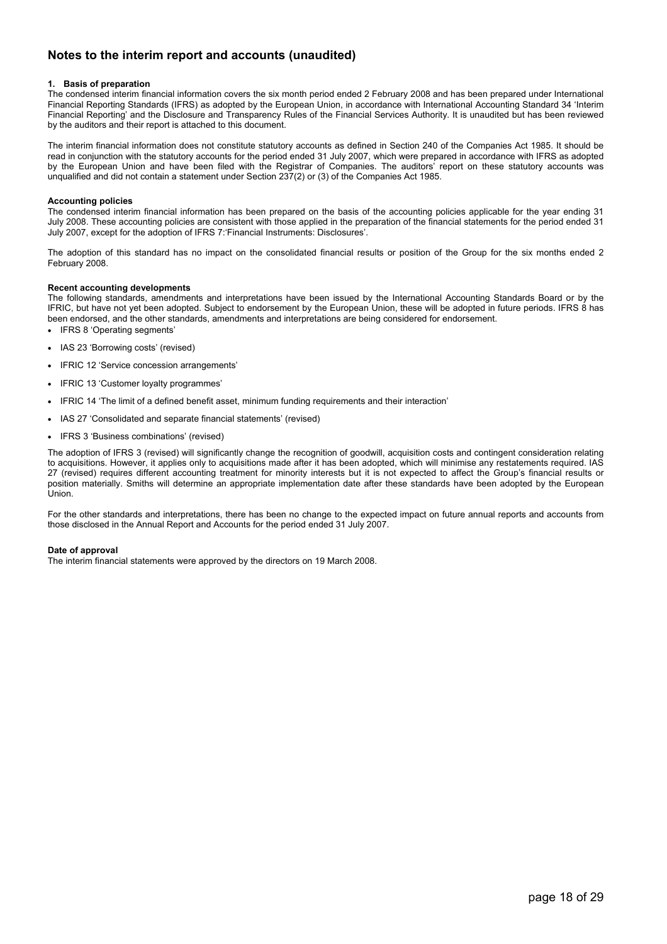## **Notes to the interim report and accounts (unaudited)**

### **1. Basis of preparation**

The condensed interim financial information covers the six month period ended 2 February 2008 and has been prepared under International Financial Reporting Standards (IFRS) as adopted by the European Union, in accordance with International Accounting Standard 34 'Interim Financial Reporting' and the Disclosure and Transparency Rules of the Financial Services Authority. It is unaudited but has been reviewed by the auditors and their report is attached to this document.

The interim financial information does not constitute statutory accounts as defined in Section 240 of the Companies Act 1985. It should be read in conjunction with the statutory accounts for the period ended 31 July 2007, which were prepared in accordance with IFRS as adopted by the European Union and have been filed with the Registrar of Companies. The auditors' report on these statutory accounts was unqualified and did not contain a statement under Section 237(2) or (3) of the Companies Act 1985.

### **Accounting policies**

The condensed interim financial information has been prepared on the basis of the accounting policies applicable for the year ending 31 July 2008. These accounting policies are consistent with those applied in the preparation of the financial statements for the period ended 31 July 2007, except for the adoption of IFRS 7:'Financial Instruments: Disclosures'.

The adoption of this standard has no impact on the consolidated financial results or position of the Group for the six months ended 2 February 2008.

### **Recent accounting developments**

The following standards, amendments and interpretations have been issued by the International Accounting Standards Board or by the IFRIC, but have not yet been adopted. Subject to endorsement by the European Union, these will be adopted in future periods. IFRS 8 has been endorsed, and the other standards, amendments and interpretations are being considered for endorsement.

• IFRS 8 'Operating segments'

- IAS 23 'Borrowing costs' (revised)
- IFRIC 12 'Service concession arrangements'
- IFRIC 13 'Customer loyalty programmes'
- IFRIC 14 'The limit of a defined benefit asset, minimum funding requirements and their interaction'
- IAS 27 'Consolidated and separate financial statements' (revised)
- IFRS 3 'Business combinations' (revised)

The adoption of IFRS 3 (revised) will significantly change the recognition of goodwill, acquisition costs and contingent consideration relating to acquisitions. However, it applies only to acquisitions made after it has been adopted, which will minimise any restatements required. IAS 27 (revised) requires different accounting treatment for minority interests but it is not expected to affect the Group's financial results or position materially. Smiths will determine an appropriate implementation date after these standards have been adopted by the European Union.

For the other standards and interpretations, there has been no change to the expected impact on future annual reports and accounts from those disclosed in the Annual Report and Accounts for the period ended 31 July 2007.

#### **Date of approval**

The interim financial statements were approved by the directors on 19 March 2008.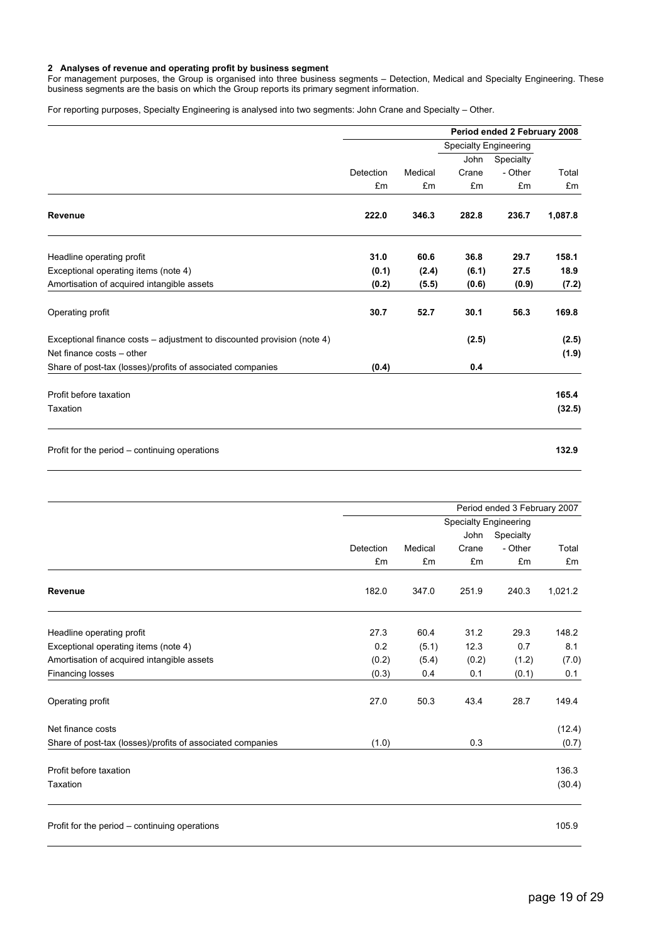#### **2 Analyses of revenue and operating profit by business segment**

For management purposes, the Group is organised into three business segments – Detection, Medical and Specialty Engineering. These business segments are the basis on which the Group reports its primary segment information.

For reporting purposes, Specialty Engineering is analysed into two segments: John Crane and Specialty – Other.

|                                                                         | Period ended 2 February 2008 |         |       |                              |         |  |
|-------------------------------------------------------------------------|------------------------------|---------|-------|------------------------------|---------|--|
|                                                                         |                              |         |       | <b>Specialty Engineering</b> |         |  |
|                                                                         |                              |         | John  | Specialty                    |         |  |
|                                                                         | Detection                    | Medical | Crane | - Other                      | Total   |  |
|                                                                         | £m                           | £m      | £m    | £m                           | £m      |  |
| Revenue                                                                 | 222.0                        | 346.3   | 282.8 | 236.7                        | 1,087.8 |  |
| Headline operating profit                                               | 31.0                         | 60.6    | 36.8  | 29.7                         | 158.1   |  |
| Exceptional operating items (note 4)                                    | (0.1)                        | (2.4)   | (6.1) | 27.5                         | 18.9    |  |
| Amortisation of acquired intangible assets                              | (0.2)                        | (5.5)   | (0.6) | (0.9)                        | (7.2)   |  |
| Operating profit                                                        | 30.7                         | 52.7    | 30.1  | 56.3                         | 169.8   |  |
| Exceptional finance costs – adjustment to discounted provision (note 4) |                              |         | (2.5) |                              | (2.5)   |  |
| Net finance costs - other                                               |                              |         |       |                              | (1.9)   |  |
| Share of post-tax (losses)/profits of associated companies              | (0.4)                        |         | 0.4   |                              |         |  |
| Profit before taxation                                                  |                              |         |       |                              | 165.4   |  |
| Taxation                                                                |                              |         |       |                              | (32.5)  |  |
| Profit for the period – continuing operations                           |                              |         |       |                              | 132.9   |  |

|                                                            |           |         |                              | Period ended 3 February 2007 |         |
|------------------------------------------------------------|-----------|---------|------------------------------|------------------------------|---------|
|                                                            |           |         | <b>Specialty Engineering</b> |                              |         |
|                                                            |           |         | John                         | Specialty                    |         |
|                                                            | Detection | Medical | Crane                        | - Other                      | Total   |
|                                                            | £m        | £m      | £m                           | £m                           | £m      |
| <b>Revenue</b>                                             | 182.0     | 347.0   | 251.9                        | 240.3                        | 1,021.2 |
| Headline operating profit                                  | 27.3      | 60.4    | 31.2                         | 29.3                         | 148.2   |
| Exceptional operating items (note 4)                       | 0.2       | (5.1)   | 12.3                         | 0.7                          | 8.1     |
| Amortisation of acquired intangible assets                 | (0.2)     | (5.4)   | (0.2)                        | (1.2)                        | (7.0)   |
| <b>Financing losses</b>                                    | (0.3)     | 0.4     | 0.1                          | (0.1)                        | 0.1     |
| Operating profit                                           | 27.0      | 50.3    | 43.4                         | 28.7                         | 149.4   |
| Net finance costs                                          |           |         |                              |                              | (12.4)  |
| Share of post-tax (losses)/profits of associated companies | (1.0)     |         | 0.3                          |                              | (0.7)   |
| Profit before taxation                                     |           |         |                              |                              | 136.3   |
| Taxation                                                   |           |         |                              |                              | (30.4)  |
| Profit for the period - continuing operations              |           |         |                              |                              | 105.9   |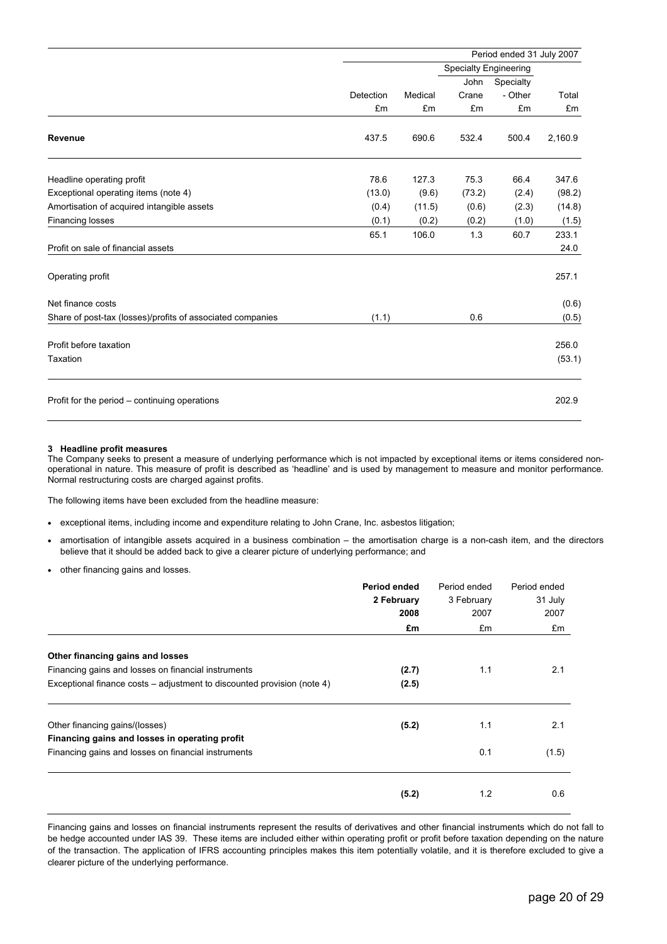|                                                            | Period ended 31 July 2007 |         |                              |           |         |
|------------------------------------------------------------|---------------------------|---------|------------------------------|-----------|---------|
|                                                            |                           |         | <b>Specialty Engineering</b> |           |         |
|                                                            |                           |         | <b>John</b>                  | Specialty |         |
|                                                            | Detection                 | Medical | Crane                        | - Other   | Total   |
|                                                            | £m                        | £m      | £m                           | £m        | £m      |
| Revenue                                                    | 437.5                     | 690.6   | 532.4                        | 500.4     | 2,160.9 |
| Headline operating profit                                  | 78.6                      | 127.3   | 75.3                         | 66.4      | 347.6   |
| Exceptional operating items (note 4)                       | (13.0)                    | (9.6)   | (73.2)                       | (2.4)     | (98.2)  |
| Amortisation of acquired intangible assets                 | (0.4)                     | (11.5)  | (0.6)                        | (2.3)     | (14.8)  |
| <b>Financing losses</b>                                    | (0.1)                     | (0.2)   | (0.2)                        | (1.0)     | (1.5)   |
|                                                            | 65.1                      | 106.0   | 1.3                          | 60.7      | 233.1   |
| Profit on sale of financial assets                         |                           |         |                              |           | 24.0    |
| Operating profit                                           |                           |         |                              |           | 257.1   |
| Net finance costs                                          |                           |         |                              |           | (0.6)   |
| Share of post-tax (losses)/profits of associated companies | (1.1)                     |         | 0.6                          |           | (0.5)   |
| Profit before taxation                                     |                           |         |                              |           | 256.0   |
| Taxation                                                   |                           |         |                              |           | (53.1)  |
| Profit for the period - continuing operations              |                           |         |                              |           | 202.9   |

#### **3 Headline profit measures**

The Company seeks to present a measure of underlying performance which is not impacted by exceptional items or items considered nonoperational in nature. This measure of profit is described as 'headline' and is used by management to measure and monitor performance. Normal restructuring costs are charged against profits.

The following items have been excluded from the headline measure:

- exceptional items, including income and expenditure relating to John Crane, Inc. asbestos litigation;
- amortisation of intangible assets acquired in a business combination the amortisation charge is a non-cash item, and the directors believe that it should be added back to give a clearer picture of underlying performance; and
- other financing gains and losses.

|                                                                         | Period ended | Period ended | Period ended |
|-------------------------------------------------------------------------|--------------|--------------|--------------|
|                                                                         | 2 February   | 3 February   | 31 July      |
|                                                                         | 2008         | 2007         | 2007         |
|                                                                         | £m           | £m           | £m           |
| Other financing gains and losses                                        |              |              |              |
| Financing gains and losses on financial instruments                     | (2.7)        | 1.1          | 2.1          |
| Exceptional finance costs - adjustment to discounted provision (note 4) | (2.5)        |              |              |
| Other financing gains/(losses)                                          | (5.2)        | 1.1          | 2.1          |
| Financing gains and losses in operating profit                          |              |              |              |
| Financing gains and losses on financial instruments                     |              | 0.1          | (1.5)        |
|                                                                         |              |              |              |
|                                                                         | (5.2)        | 1.2          | 0.6          |

Financing gains and losses on financial instruments represent the results of derivatives and other financial instruments which do not fall to be hedge accounted under IAS 39. These items are included either within operating profit or profit before taxation depending on the nature of the transaction. The application of IFRS accounting principles makes this item potentially volatile, and it is therefore excluded to give a clearer picture of the underlying performance.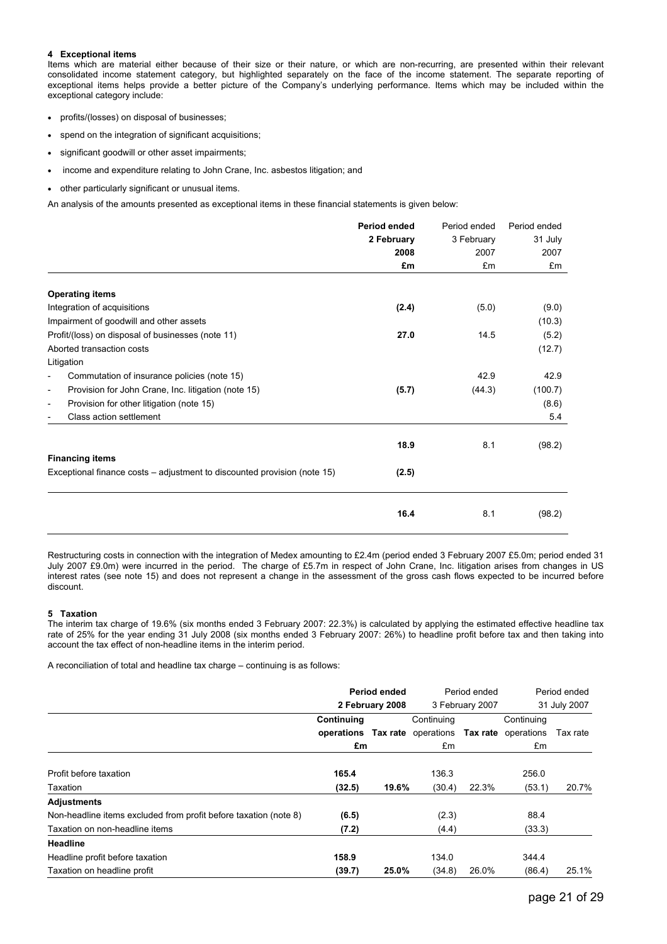### **4 Exceptional items**

Items which are material either because of their size or their nature, or which are non-recurring, are presented within their relevant consolidated income statement category, but highlighted separately on the face of the income statement. The separate reporting of exceptional items helps provide a better picture of the Company's underlying performance. Items which may be included within the exceptional category include:

- profits/(losses) on disposal of businesses;
- spend on the integration of significant acquisitions;
- significant goodwill or other asset impairments;
- income and expenditure relating to John Crane, Inc. asbestos litigation; and
- other particularly significant or unusual items.

An analysis of the amounts presented as exceptional items in these financial statements is given below:

|                                                                                 | Period ended | Period ended | Period ended |
|---------------------------------------------------------------------------------|--------------|--------------|--------------|
|                                                                                 | 2 February   | 3 February   | 31 July      |
|                                                                                 | 2008         | 2007         | 2007         |
|                                                                                 | £m           | £m           | £m           |
| <b>Operating items</b>                                                          |              |              |              |
| Integration of acquisitions                                                     | (2.4)        | (5.0)        | (9.0)        |
| Impairment of goodwill and other assets                                         |              |              | (10.3)       |
| Profit/(loss) on disposal of businesses (note 11)                               | 27.0         | 14.5         | (5.2)        |
| Aborted transaction costs                                                       |              |              | (12.7)       |
| Litigation                                                                      |              |              |              |
| Commutation of insurance policies (note 15)<br>$\overline{\phantom{a}}$         |              | 42.9         | 42.9         |
| Provision for John Crane, Inc. litigation (note 15)<br>$\overline{\phantom{a}}$ | (5.7)        | (44.3)       | (100.7)      |
| Provision for other litigation (note 15)<br>$\overline{\phantom{a}}$            |              |              | (8.6)        |
| Class action settlement                                                         |              |              | 5.4          |
|                                                                                 | 18.9         | 8.1          | (98.2)       |
| <b>Financing items</b>                                                          |              |              |              |
| Exceptional finance costs – adjustment to discounted provision (note 15)        | (2.5)        |              |              |
|                                                                                 |              |              |              |
|                                                                                 | 16.4         | 8.1          | (98.2)       |

Restructuring costs in connection with the integration of Medex amounting to £2.4m (period ended 3 February 2007 £5.0m; period ended 31 July 2007 £9.0m) were incurred in the period. The charge of £5.7m in respect of John Crane, Inc. litigation arises from changes in US interest rates (see note 15) and does not represent a change in the assessment of the gross cash flows expected to be incurred before discount.

### **5 Taxation**

The interim tax charge of 19.6% (six months ended 3 February 2007: 22.3%) is calculated by applying the estimated effective headline tax rate of 25% for the year ending 31 July 2008 (six months ended 3 February 2007: 26%) to headline profit before tax and then taking into account the tax effect of non-headline items in the interim period.

A reconciliation of total and headline tax charge – continuing is as follows:

|                                                                  | Period ended                                       |                 |            | Period ended<br>3 February 2007 |            | Period ended |
|------------------------------------------------------------------|----------------------------------------------------|-----------------|------------|---------------------------------|------------|--------------|
|                                                                  |                                                    | 2 February 2008 |            |                                 |            | 31 July 2007 |
|                                                                  | Continuing                                         |                 | Continuing |                                 | Continuing |              |
|                                                                  | operations Tax rate operations Tax rate operations |                 |            |                                 |            | Tax rate     |
|                                                                  | £m                                                 |                 | £m         |                                 | £m         |              |
| Profit before taxation                                           | 165.4                                              |                 | 136.3      |                                 | 256.0      |              |
| Taxation                                                         | (32.5)                                             | 19.6%           | (30.4)     | 22.3%                           | (53.1)     | 20.7%        |
| <b>Adjustments</b>                                               |                                                    |                 |            |                                 |            |              |
| Non-headline items excluded from profit before taxation (note 8) | (6.5)                                              |                 | (2.3)      |                                 | 88.4       |              |
| Taxation on non-headline items                                   | (7.2)                                              |                 | (4.4)      |                                 | (33.3)     |              |
| <b>Headline</b>                                                  |                                                    |                 |            |                                 |            |              |
| Headline profit before taxation                                  | 158.9                                              |                 | 134.0      |                                 | 344.4      |              |
| Taxation on headline profit                                      | (39.7)                                             | 25.0%           | (34.8)     | 26.0%                           | (86.4)     | 25.1%        |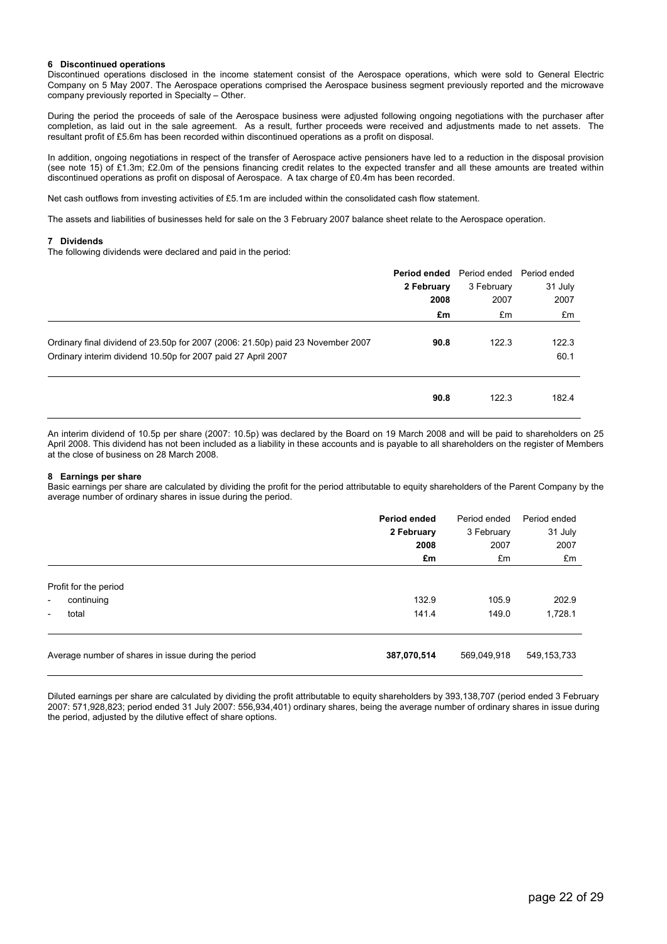### **6 Discontinued operations**

Discontinued operations disclosed in the income statement consist of the Aerospace operations, which were sold to General Electric Company on 5 May 2007. The Aerospace operations comprised the Aerospace business segment previously reported and the microwave company previously reported in Specialty – Other.

During the period the proceeds of sale of the Aerospace business were adjusted following ongoing negotiations with the purchaser after completion, as laid out in the sale agreement. As a result, further proceeds were received and adjustments made to net assets. The resultant profit of £5.6m has been recorded within discontinued operations as a profit on disposal.

In addition, ongoing negotiations in respect of the transfer of Aerospace active pensioners have led to a reduction in the disposal provision (see note 15) of £1.3m; £2.0m of the pensions financing credit relates to the expected transfer and all these amounts are treated within discontinued operations as profit on disposal of Aerospace. A tax charge of £0.4m has been recorded.

Net cash outflows from investing activities of £5.1m are included within the consolidated cash flow statement.

The assets and liabilities of businesses held for sale on the 3 February 2007 balance sheet relate to the Aerospace operation.

#### **7 Dividends**

The following dividends were declared and paid in the period:

|                                                                                 | <b>Period ended</b> Period ended Period ended |            |         |
|---------------------------------------------------------------------------------|-----------------------------------------------|------------|---------|
|                                                                                 | 2 February                                    | 3 February | 31 July |
|                                                                                 | 2008                                          | 2007       | 2007    |
|                                                                                 | £m                                            | £m         | £m      |
|                                                                                 |                                               |            |         |
| Ordinary final dividend of 23.50p for 2007 (2006: 21.50p) paid 23 November 2007 | 90.8                                          | 122.3      | 122.3   |
| Ordinary interim dividend 10.50p for 2007 paid 27 April 2007                    |                                               |            | 60.1    |
|                                                                                 |                                               |            |         |
|                                                                                 | 90.8                                          | 122.3      | 182.4   |
|                                                                                 |                                               |            |         |

An interim dividend of 10.5p per share (2007: 10.5p) was declared by the Board on 19 March 2008 and will be paid to shareholders on 25 April 2008. This dividend has not been included as a liability in these accounts and is payable to all shareholders on the register of Members at the close of business on 28 March 2008.

#### **8 Earnings per share**

Basic earnings per share are calculated by dividing the profit for the period attributable to equity shareholders of the Parent Company by the average number of ordinary shares in issue during the period.

|                                                     | Period ended<br>2 February | Period ended<br>3 February | Period ended<br>31 July |
|-----------------------------------------------------|----------------------------|----------------------------|-------------------------|
|                                                     | 2008<br>£m                 | 2007<br>£m                 | 2007<br>£m              |
| Profit for the period                               |                            |                            |                         |
| continuing<br>$\qquad \qquad \blacksquare$          | 132.9                      | 105.9                      | 202.9                   |
| total<br>-                                          | 141.4                      | 149.0                      | 1,728.1                 |
| Average number of shares in issue during the period | 387,070,514                | 569,049,918                | 549, 153, 733           |

Diluted earnings per share are calculated by dividing the profit attributable to equity shareholders by 393,138,707 (period ended 3 February 2007: 571,928,823; period ended 31 July 2007: 556,934,401) ordinary shares, being the average number of ordinary shares in issue during the period, adjusted by the dilutive effect of share options.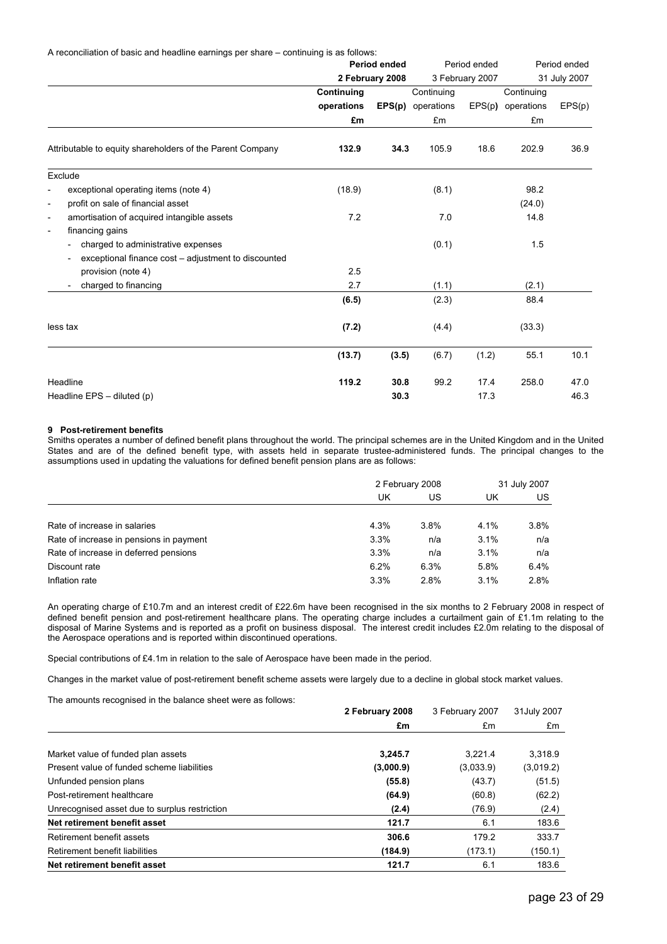A reconciliation of basic and headline earnings per share – continuing is as follows:

|                                                                        | Period ended |                 | Period ended             |       | Period ended      |              |
|------------------------------------------------------------------------|--------------|-----------------|--------------------------|-------|-------------------|--------------|
|                                                                        |              | 2 February 2008 | 3 February 2007          |       |                   | 31 July 2007 |
|                                                                        | Continuing   |                 | Continuing               |       | Continuing        |              |
|                                                                        | operations   |                 | <b>EPS(p)</b> operations |       | EPS(p) operations | EPS(p)       |
|                                                                        | £m           |                 | £m                       |       | £m                |              |
| Attributable to equity shareholders of the Parent Company              | 132.9        | 34.3            | 105.9                    | 18.6  | 202.9             | 36.9         |
| Exclude                                                                |              |                 |                          |       |                   |              |
| exceptional operating items (note 4)<br>$\overline{\phantom{0}}$       | (18.9)       |                 | (8.1)                    |       | 98.2              |              |
| profit on sale of financial asset<br>$\overline{\phantom{0}}$          |              |                 |                          |       | (24.0)            |              |
| amortisation of acquired intangible assets<br>$\overline{\phantom{a}}$ | 7.2          |                 | 7.0                      |       | 14.8              |              |
| financing gains<br>$\overline{\phantom{a}}$                            |              |                 |                          |       |                   |              |
| charged to administrative expenses<br>$\overline{\phantom{a}}$         |              |                 | (0.1)                    |       | 1.5               |              |
| exceptional finance cost – adjustment to discounted                    |              |                 |                          |       |                   |              |
| provision (note 4)                                                     | 2.5          |                 |                          |       |                   |              |
| charged to financing                                                   | 2.7          |                 | (1.1)                    |       | (2.1)             |              |
|                                                                        | (6.5)        |                 | (2.3)                    |       | 88.4              |              |
| less tax                                                               | (7.2)        |                 | (4.4)                    |       | (33.3)            |              |
|                                                                        | (13.7)       | (3.5)           | (6.7)                    | (1.2) | 55.1              | 10.1         |
| Headline                                                               | 119.2        | 30.8            | 99.2                     | 17.4  | 258.0             | 47.0         |
| Headline $EPS -$ diluted (p)                                           |              | 30.3            |                          | 17.3  |                   | 46.3         |

#### **9 Post-retirement benefits**

Smiths operates a number of defined benefit plans throughout the world. The principal schemes are in the United Kingdom and in the United States and are of the defined benefit type, with assets held in separate trustee-administered funds. The principal changes to the assumptions used in updating the valuations for defined benefit pension plans are as follows:

|                                         | 2 February 2008 |      | 31 July 2007 |      |
|-----------------------------------------|-----------------|------|--------------|------|
|                                         | UK              | US   | UK           | US   |
| Rate of increase in salaries            | 4.3%            | 3.8% | 4.1%         | 3.8% |
| Rate of increase in pensions in payment | 3.3%            | n/a  | 3.1%         | n/a  |
| Rate of increase in deferred pensions   | 3.3%            | n/a  | 3.1%         | n/a  |
| Discount rate                           | 6.2%            | 6.3% | 5.8%         | 6.4% |
| Inflation rate                          | 3.3%            | 2.8% | 3.1%         | 2.8% |

An operating charge of £10.7m and an interest credit of £22.6m have been recognised in the six months to 2 February 2008 in respect of defined benefit pension and post-retirement healthcare plans. The operating charge includes a curtailment gain of £1.1m relating to the disposal of Marine Systems and is reported as a profit on business disposal. The interest credit includes £2.0m relating to the disposal of the Aerospace operations and is reported within discontinued operations.

Special contributions of £4.1m in relation to the sale of Aerospace have been made in the period.

Changes in the market value of post-retirement benefit scheme assets were largely due to a decline in global stock market values.

The amounts recognised in the balance sheet were as follows:

|                                               | 2 February 2008 | 3 February 2007 | 31July 2007 |
|-----------------------------------------------|-----------------|-----------------|-------------|
|                                               | £m              | £m              | £m          |
|                                               |                 |                 |             |
| Market value of funded plan assets            | 3,245.7         | 3.221.4         | 3,318.9     |
| Present value of funded scheme liabilities    | (3,000.9)       | (3,033.9)       | (3,019.2)   |
| Unfunded pension plans                        | (55.8)          | (43.7)          | (51.5)      |
| Post-retirement healthcare                    | (64.9)          | (60.8)          | (62.2)      |
| Unrecognised asset due to surplus restriction | (2.4)           | (76.9)          | (2.4)       |
| Net retirement benefit asset                  | 121.7           | 6.1             | 183.6       |
| Retirement benefit assets                     | 306.6           | 179.2           | 333.7       |
| Retirement benefit liabilities                | (184.9)         | (173.1)         | (150.1)     |
| Net retirement benefit asset                  | 121.7           | 6.1             | 183.6       |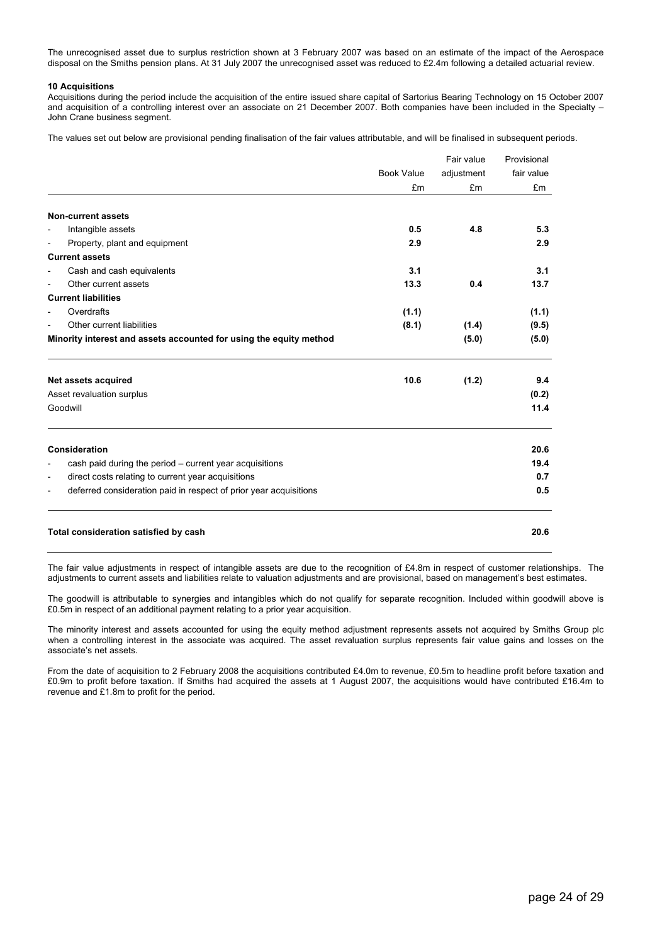The unrecognised asset due to surplus restriction shown at 3 February 2007 was based on an estimate of the impact of the Aerospace disposal on the Smiths pension plans. At 31 July 2007 the unrecognised asset was reduced to £2.4m following a detailed actuarial review.

### **10 Acquisitions**

Acquisitions during the period include the acquisition of the entire issued share capital of Sartorius Bearing Technology on 15 October 2007 and acquisition of a controlling interest over an associate on 21 December 2007. Both companies have been included in the Specialty – John Crane business segment.

The values set out below are provisional pending finalisation of the fair values attributable, and will be finalised in subsequent periods.

|                          |                                                                    |                   | Fair value | Provisional |
|--------------------------|--------------------------------------------------------------------|-------------------|------------|-------------|
|                          |                                                                    | <b>Book Value</b> | adjustment | fair value  |
|                          |                                                                    | £m                | £m         | £m          |
|                          | <b>Non-current assets</b>                                          |                   |            |             |
| $\overline{a}$           | Intangible assets                                                  | 0.5               | 4.8        | 5.3         |
|                          | Property, plant and equipment                                      | 2.9               |            | 2.9         |
|                          | <b>Current assets</b>                                              |                   |            |             |
|                          | Cash and cash equivalents                                          | 3.1               |            | 3.1         |
|                          | Other current assets                                               | 13.3              | 0.4        | 13.7        |
|                          | <b>Current liabilities</b>                                         |                   |            |             |
|                          | Overdrafts                                                         | (1.1)             |            | (1.1)       |
| $\overline{\phantom{0}}$ | Other current liabilities                                          | (8.1)             | (1.4)      | (9.5)       |
|                          | Minority interest and assets accounted for using the equity method |                   | (5.0)      | (5.0)       |
|                          | Net assets acquired                                                | 10.6              | (1.2)      | 9.4         |
|                          | Asset revaluation surplus                                          |                   |            | (0.2)       |
|                          | Goodwill                                                           |                   |            | 11.4        |
|                          | Consideration                                                      |                   |            | 20.6        |
|                          | cash paid during the period – current year acquisitions            |                   |            | 19.4        |
| $\overline{\phantom{a}}$ | direct costs relating to current year acquisitions                 |                   |            | 0.7         |
|                          | deferred consideration paid in respect of prior year acquisitions  |                   |            | 0.5         |
|                          |                                                                    |                   |            |             |
|                          |                                                                    |                   |            |             |

### **Total consideration satisfied by cash 20.6**

The fair value adjustments in respect of intangible assets are due to the recognition of £4.8m in respect of customer relationships. The adjustments to current assets and liabilities relate to valuation adjustments and are provisional, based on management's best estimates.

The goodwill is attributable to synergies and intangibles which do not qualify for separate recognition. Included within goodwill above is £0.5m in respect of an additional payment relating to a prior year acquisition.

The minority interest and assets accounted for using the equity method adjustment represents assets not acquired by Smiths Group plc when a controlling interest in the associate was acquired. The asset revaluation surplus represents fair value gains and losses on the associate's net assets.

From the date of acquisition to 2 February 2008 the acquisitions contributed £4.0m to revenue, £0.5m to headline profit before taxation and £0.9m to profit before taxation. If Smiths had acquired the assets at 1 August 2007, the acquisitions would have contributed £16.4m to revenue and £1.8m to profit for the period.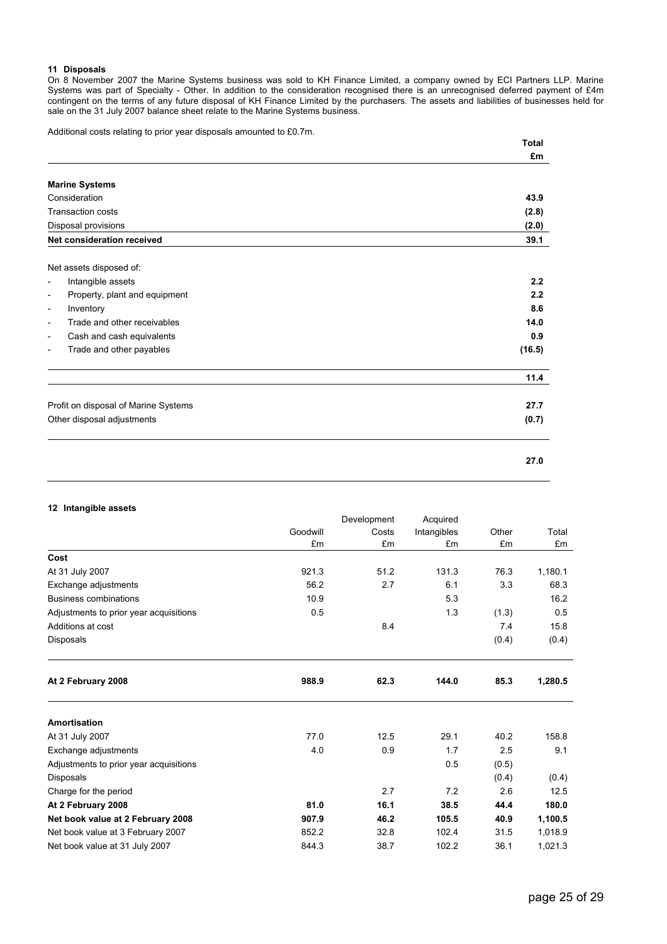### **11 Disposals**

On 8 November 2007 the Marine Systems business was sold to KH Finance Limited, a company owned by ECI Partners LLP. Marine Systems was part of Specialty - Other. In addition to the consideration recognised there is an unrecognised deferred payment of £4m contingent on the terms of any future disposal of KH Finance Limited by the purchasers. The assets and liabilities of businesses held for sale on the 31 July 2007 balance sheet relate to the Marine Systems business.

Additional costs relating to prior year disposals amounted to £0.7m.

| <b>Total</b> |
|--------------|
| £m           |
|              |
| 43.9         |
| (2.8)        |
| (2.0)        |
| 39.1         |
|              |
| 2.2          |
| 2.2          |
| 8.6          |
| 14.0         |
| 0.9          |
| (16.5)       |
| 11.4         |
| 27.7         |
| (0.7)        |
| 27.0         |
|              |

### **12 Intangible assets**

|                                        |          | Development | Acquired    |       |         |
|----------------------------------------|----------|-------------|-------------|-------|---------|
|                                        | Goodwill | Costs       | Intangibles | Other | Total   |
|                                        | £m       | £m          | £m          | £m    | £m      |
| Cost                                   |          |             |             |       |         |
| At 31 July 2007                        | 921.3    | 51.2        | 131.3       | 76.3  | 1,180.1 |
| Exchange adjustments                   | 56.2     | 2.7         | 6.1         | 3.3   | 68.3    |
| <b>Business combinations</b>           | 10.9     |             | 5.3         |       | 16.2    |
| Adjustments to prior year acquisitions | 0.5      |             | 1.3         | (1.3) | 0.5     |
| Additions at cost                      |          | 8.4         |             | 7.4   | 15.8    |
| Disposals                              |          |             |             | (0.4) | (0.4)   |
| At 2 February 2008                     | 988.9    | 62.3        | 144.0       | 85.3  | 1,280.5 |
| Amortisation                           |          |             |             |       |         |
| At 31 July 2007                        | 77.0     | 12.5        | 29.1        | 40.2  | 158.8   |
| Exchange adjustments                   | 4.0      | 0.9         | 1.7         | 2.5   | 9.1     |
| Adjustments to prior year acquisitions |          |             | 0.5         | (0.5) |         |
| Disposals                              |          |             |             | (0.4) | (0.4)   |
| Charge for the period                  |          | 2.7         | 7.2         | 2.6   | 12.5    |
| At 2 February 2008                     | 81.0     | 16.1        | 38.5        | 44.4  | 180.0   |
| Net book value at 2 February 2008      | 907.9    | 46.2        | 105.5       | 40.9  | 1,100.5 |
| Net book value at 3 February 2007      | 852.2    | 32.8        | 102.4       | 31.5  | 1,018.9 |
| Net book value at 31 July 2007         | 844.3    | 38.7        | 102.2       | 36.1  | 1,021.3 |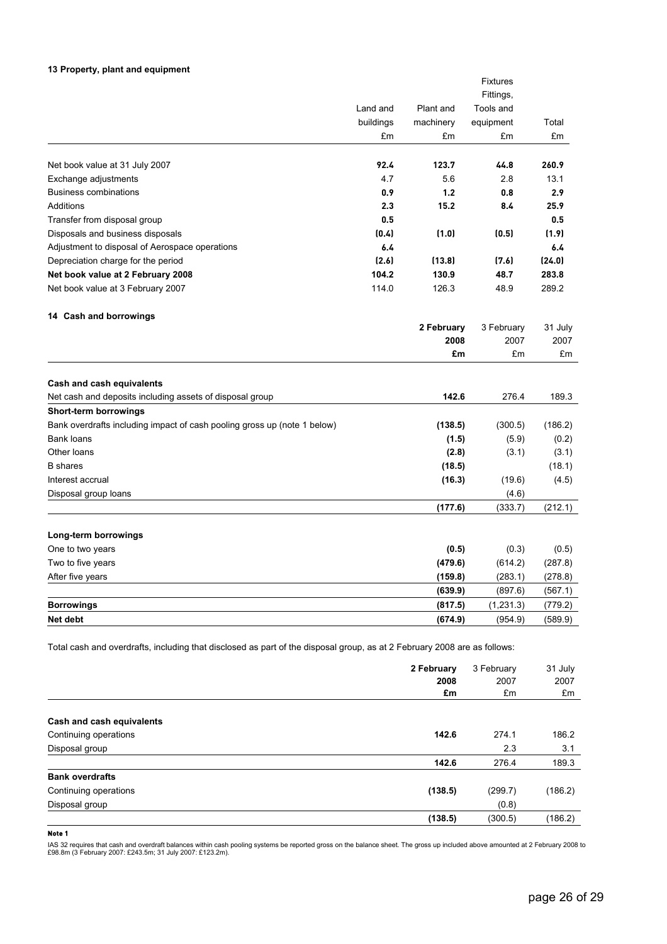### **13 Property, plant and equipment**

|                                                                          |           |            | <b>Fixtures</b> |         |
|--------------------------------------------------------------------------|-----------|------------|-----------------|---------|
|                                                                          |           |            | Fittings,       |         |
|                                                                          | Land and  | Plant and  | Tools and       |         |
|                                                                          | buildings | machinery  | equipment       | Total   |
|                                                                          | £m        | £m         | £m              | £m      |
| Net book value at 31 July 2007                                           | 92.4      | 123.7      | 44.8            | 260.9   |
| Exchange adjustments                                                     | 4.7       | 5.6        | 2.8             | 13.1    |
| <b>Business combinations</b>                                             | 0.9       | 1.2        | 0.8             | 2.9     |
| Additions                                                                | 2.3       | 15.2       | 8.4             | 25.9    |
| Transfer from disposal group                                             | 0.5       |            |                 | 0.5     |
| Disposals and business disposals                                         | (0.4)     | (1.0)      | (0.5)           | (1.9)   |
| Adjustment to disposal of Aerospace operations                           | 6.4       |            |                 | 6.4     |
| Depreciation charge for the period                                       | (2.6)     | (13.8)     | (7.6)           | (24.0)  |
| Net book value at 2 February 2008                                        | 104.2     | 130.9      | 48.7            | 283.8   |
| Net book value at 3 February 2007                                        | 114.0     | 126.3      | 48.9            | 289.2   |
| 14 Cash and borrowings                                                   |           |            |                 |         |
|                                                                          |           | 2 February | 3 February      | 31 July |
|                                                                          |           | 2008       | 2007            | 2007    |
|                                                                          |           | £m         | £m              | £m      |
| Cash and cash equivalents                                                |           |            |                 |         |
| Net cash and deposits including assets of disposal group                 |           | 142.6      | 276.4           | 189.3   |
| <b>Short-term borrowings</b>                                             |           |            |                 |         |
| Bank overdrafts including impact of cash pooling gross up (note 1 below) |           | (138.5)    | (300.5)         | (186.2) |
| <b>Bank loans</b>                                                        |           | (1.5)      | (5.9)           | (0.2)   |
| Other loans                                                              |           | (2.8)      | (3.1)           | (3.1)   |
| <b>B</b> shares                                                          |           | (18.5)     |                 | (18.1)  |
| Interest accrual                                                         |           | (16.3)     | (19.6)          | (4.5)   |
| Disposal group loans                                                     |           |            | (4.6)           |         |
|                                                                          |           | (177.6)    | (333.7)         | (212.1) |
| Long-term borrowings                                                     |           |            |                 |         |
| One to two years                                                         |           | (0.5)      | (0.3)           | (0.5)   |
| Two to five years                                                        |           | (479.6)    | (614.2)         | (287.8) |
| After five years                                                         |           | (159.8)    | (283.1)         | (278.8) |
|                                                                          |           | (639.9)    | (897.6)         | (567.1) |
| <b>Borrowings</b>                                                        |           | (817.5)    | (1,231.3)       | (779.2) |
| Net debt                                                                 |           | (674.9)    | (954.9)         | (589.9) |

Total cash and overdrafts, including that disclosed as part of the disposal group, as at 2 February 2008 are as follows:

|                           | 2 February<br>2008<br>£m | 3 February<br>2007<br>£m | 31 July<br>2007<br>£m |
|---------------------------|--------------------------|--------------------------|-----------------------|
| Cash and cash equivalents |                          |                          |                       |
| Continuing operations     | 142.6                    | 274.1                    | 186.2                 |
| Disposal group            |                          | 2.3                      | 3.1                   |
|                           | 142.6                    | 276.4                    | 189.3                 |
| <b>Bank overdrafts</b>    |                          |                          |                       |
| Continuing operations     | (138.5)                  | (299.7)                  | (186.2)               |
| Disposal group            |                          | (0.8)                    |                       |
|                           | (138.5)                  | (300.5)                  | (186.2)               |

### **Note 1**

IAS 32 requires that cash and overdraft balances within cash pooling systems be reported gross on the balance sheet. The gross up included above amounted at 2 February 2008 to<br>£98.8m (3 February 2007: £243.5m; 31 July 2007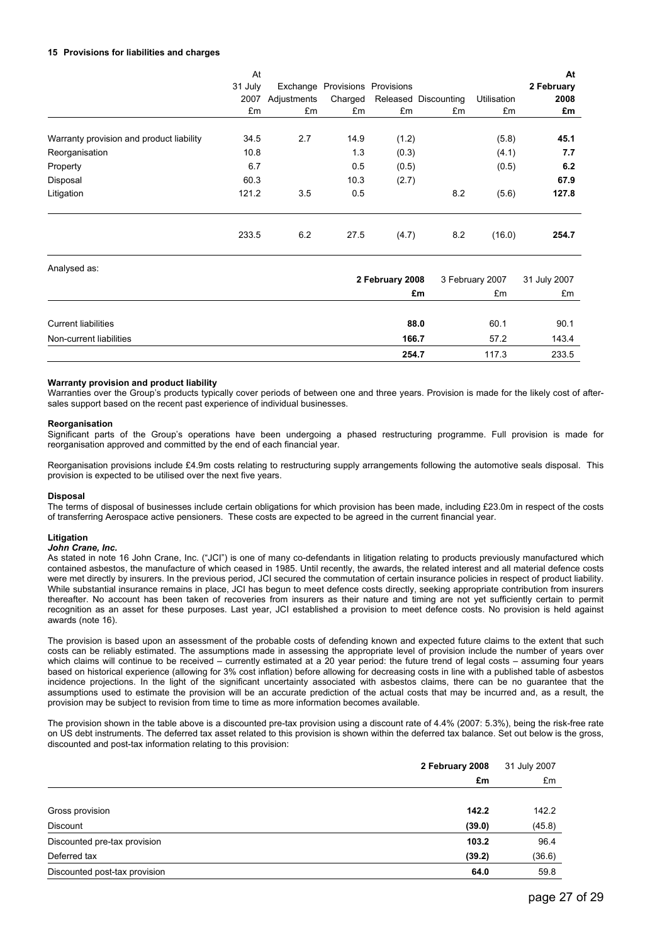### **15 Provisions for liabilities and charges**

|                                          | At<br>31 July<br>2007<br>£m | Exchange<br>Adjustments<br>£m | Charged<br>£m | Provisions Provisions<br>£m | Released Discounting<br>£m | Utilisation<br>£m | At<br>2 February<br>2008<br>£m |
|------------------------------------------|-----------------------------|-------------------------------|---------------|-----------------------------|----------------------------|-------------------|--------------------------------|
| Warranty provision and product liability | 34.5                        | 2.7                           | 14.9          | (1.2)                       |                            | (5.8)             | 45.1                           |
| Reorganisation                           | 10.8                        |                               | 1.3           | (0.3)                       |                            | (4.1)             | 7.7                            |
| Property                                 | 6.7                         |                               | 0.5           | (0.5)                       |                            | (0.5)             | 6.2                            |
| Disposal                                 | 60.3                        |                               | 10.3          | (2.7)                       |                            |                   | 67.9                           |
| Litigation                               | 121.2                       | 3.5                           | 0.5           |                             | 8.2                        | (5.6)             | 127.8                          |
|                                          | 233.5                       | 6.2                           | 27.5          | (4.7)                       | 8.2                        | (16.0)            | 254.7                          |

| Analysed as:               |                 |                 |              |
|----------------------------|-----------------|-----------------|--------------|
|                            | 2 February 2008 | 3 February 2007 | 31 July 2007 |
|                            | £m              | £m              | £m           |
|                            |                 |                 |              |
| <b>Current liabilities</b> | 88.0            | 60.1            | 90.1         |
| Non-current liabilities    | 166.7           | 57.2            | 143.4        |
|                            | 254.7           | 117.3           | 233.5        |

#### **Warranty provision and product liability**

Warranties over the Group's products typically cover periods of between one and three years. Provision is made for the likely cost of aftersales support based on the recent past experience of individual businesses.

### **Reorganisation**

Significant parts of the Group's operations have been undergoing a phased restructuring programme. Full provision is made for reorganisation approved and committed by the end of each financial year.

Reorganisation provisions include £4.9m costs relating to restructuring supply arrangements following the automotive seals disposal. This provision is expected to be utilised over the next five years.

#### **Disposal**

The terms of disposal of businesses include certain obligations for which provision has been made, including £23.0m in respect of the costs of transferring Aerospace active pensioners. These costs are expected to be agreed in the current financial year.

#### **Litigation**

#### *John Crane, Inc.*

As stated in note 16 John Crane, Inc. ("JCI") is one of many co-defendants in litigation relating to products previously manufactured which contained asbestos, the manufacture of which ceased in 1985. Until recently, the awards, the related interest and all material defence costs were met directly by insurers. In the previous period, JCI secured the commutation of certain insurance policies in respect of product liability. While substantial insurance remains in place, JCI has begun to meet defence costs directly, seeking appropriate contribution from insurers thereafter. No account has been taken of recoveries from insurers as their nature and timing are not yet sufficiently certain to permit recognition as an asset for these purposes. Last year, JCI established a provision to meet defence costs. No provision is held against awards (note 16).

The provision is based upon an assessment of the probable costs of defending known and expected future claims to the extent that such costs can be reliably estimated. The assumptions made in assessing the appropriate level of provision include the number of years over which claims will continue to be received – currently estimated at a 20 year period: the future trend of legal costs – assuming four years based on historical experience (allowing for 3% cost inflation) before allowing for decreasing costs in line with a published table of asbestos incidence projections. In the light of the significant uncertainty associated with asbestos claims, there can be no guarantee that the assumptions used to estimate the provision will be an accurate prediction of the actual costs that may be incurred and, as a result, the provision may be subject to revision from time to time as more information becomes available.

The provision shown in the table above is a discounted pre-tax provision using a discount rate of 4.4% (2007: 5.3%), being the risk-free rate on US debt instruments. The deferred tax asset related to this provision is shown within the deferred tax balance. Set out below is the gross, discounted and post-tax information relating to this provision:

|                               | 2 February 2008 | 31 July 2007 |  |
|-------------------------------|-----------------|--------------|--|
|                               | £m              | £m           |  |
|                               |                 |              |  |
| Gross provision               | 142.2           | 142.2        |  |
| Discount                      | (39.0)          | (45.8)       |  |
| Discounted pre-tax provision  | 103.2           | 96.4         |  |
| Deferred tax                  | (39.2)          | (36.6)       |  |
| Discounted post-tax provision | 64.0            | 59.8         |  |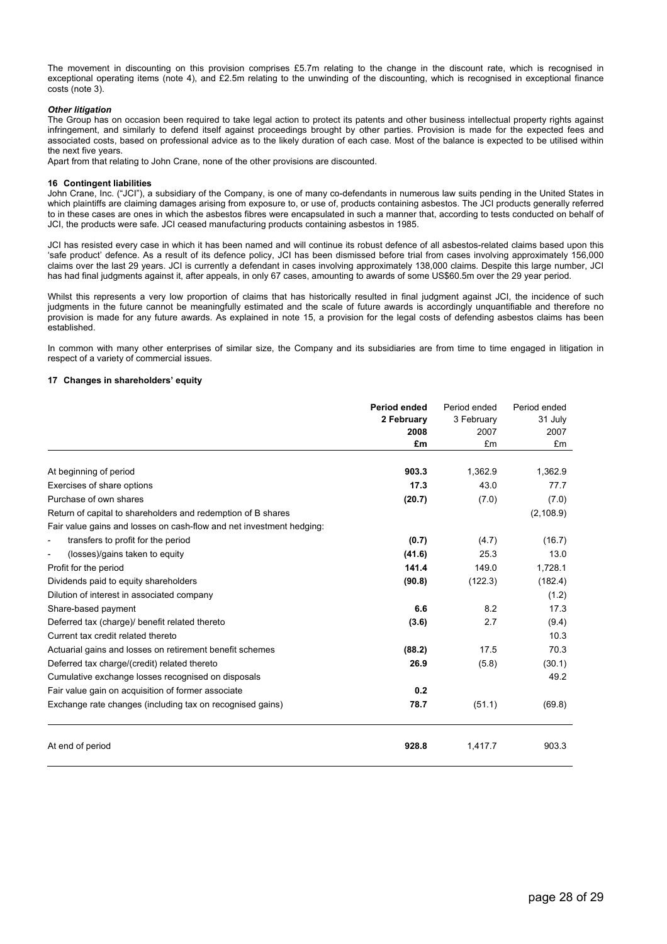The movement in discounting on this provision comprises £5.7m relating to the change in the discount rate, which is recognised in exceptional operating items (note 4), and £2.5m relating to the unwinding of the discounting, which is recognised in exceptional finance costs (note 3).

### *Other litigation*

The Group has on occasion been required to take legal action to protect its patents and other business intellectual property rights against infringement, and similarly to defend itself against proceedings brought by other parties. Provision is made for the expected fees and associated costs, based on professional advice as to the likely duration of each case. Most of the balance is expected to be utilised within the next five years.

Apart from that relating to John Crane, none of the other provisions are discounted.

#### **16 Contingent liabilities**

John Crane, Inc. ("JCI"), a subsidiary of the Company, is one of many co-defendants in numerous law suits pending in the United States in which plaintiffs are claiming damages arising from exposure to, or use of, products containing asbestos. The JCI products generally referred to in these cases are ones in which the asbestos fibres were encapsulated in such a manner that, according to tests conducted on behalf of JCI, the products were safe. JCI ceased manufacturing products containing asbestos in 1985.

JCI has resisted every case in which it has been named and will continue its robust defence of all asbestos-related claims based upon this 'safe product' defence. As a result of its defence policy, JCI has been dismissed before trial from cases involving approximately 156,000 claims over the last 29 years. JCI is currently a defendant in cases involving approximately 138,000 claims. Despite this large number, JCI has had final judgments against it, after appeals, in only 67 cases, amounting to awards of some US\$60.5m over the 29 year period.

Whilst this represents a very low proportion of claims that has historically resulted in final judgment against JCI, the incidence of such judgments in the future cannot be meaningfully estimated and the scale of future awards is accordingly unquantifiable and therefore no provision is made for any future awards. As explained in note 15, a provision for the legal costs of defending asbestos claims has been established.

In common with many other enterprises of similar size, the Company and its subsidiaries are from time to time engaged in litigation in respect of a variety of commercial issues.

#### **17 Changes in shareholders' equity**

|                                                                      | <b>Period ended</b><br>2 February<br>2008<br>£m | Period ended<br>3 February<br>2007<br>£m | Period ended<br>31 July<br>2007<br>£m |
|----------------------------------------------------------------------|-------------------------------------------------|------------------------------------------|---------------------------------------|
| At beginning of period                                               | 903.3                                           | 1,362.9                                  | 1,362.9                               |
| Exercises of share options                                           | 17.3                                            | 43.0                                     | 77.7                                  |
| Purchase of own shares                                               | (20.7)                                          | (7.0)                                    | (7.0)                                 |
| Return of capital to shareholders and redemption of B shares         |                                                 |                                          | (2, 108.9)                            |
| Fair value gains and losses on cash-flow and net investment hedging: |                                                 |                                          |                                       |
| transfers to profit for the period                                   | (0.7)                                           | (4.7)                                    | (16.7)                                |
| (losses)/gains taken to equity                                       | (41.6)                                          | 25.3                                     | 13.0                                  |
| Profit for the period                                                | 141.4                                           | 149.0                                    | 1,728.1                               |
| Dividends paid to equity shareholders                                | (90.8)                                          | (122.3)                                  | (182.4)                               |
| Dilution of interest in associated company                           |                                                 |                                          | (1.2)                                 |
| Share-based payment                                                  | 6.6                                             | 8.2                                      | 17.3                                  |
| Deferred tax (charge)/ benefit related thereto                       | (3.6)                                           | 2.7                                      | (9.4)                                 |
| Current tax credit related thereto                                   |                                                 |                                          | 10.3                                  |
| Actuarial gains and losses on retirement benefit schemes             | (88.2)                                          | 17.5                                     | 70.3                                  |
| Deferred tax charge/(credit) related thereto                         | 26.9                                            | (5.8)                                    | (30.1)                                |
| Cumulative exchange losses recognised on disposals                   |                                                 |                                          | 49.2                                  |
| Fair value gain on acquisition of former associate                   | 0.2                                             |                                          |                                       |
| Exchange rate changes (including tax on recognised gains)            | 78.7                                            | (51.1)                                   | (69.8)                                |
| At end of period                                                     | 928.8                                           | 1,417.7                                  | 903.3                                 |